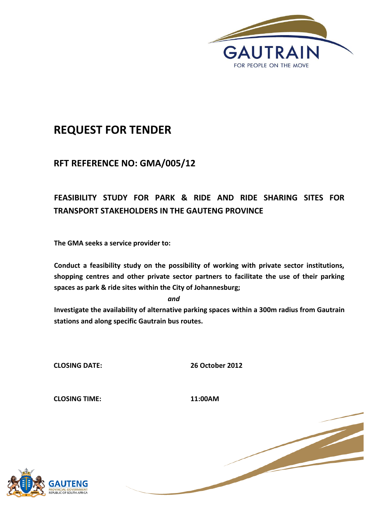

# **REQUEST FOR TENDER**

# **RFT REFERENCE NO: GMA/005/12**

# **FEASIBILITY STUDY FOR PARK & RIDE AND RIDE SHARING SITES FOR TRANSPORT STAKEHOLDERS IN THE GAUTENG PROVINCE**

**The GMA seeks a service provider to:**

**Conduct a feasibility study on the possibility of working with private sector institutions, shopping centres and other private sector partners to facilitate the use of their parking spaces as park & ride sites within the City of Johannesburg;**

*and*

**Investigate the availability of alternative parking spaces within a 300m radius from Gautrain stations and along specific Gautrain bus routes.** 

**CLOSING DATE: 26 October 2012**

**CLOSING TIME: 11:00AM**



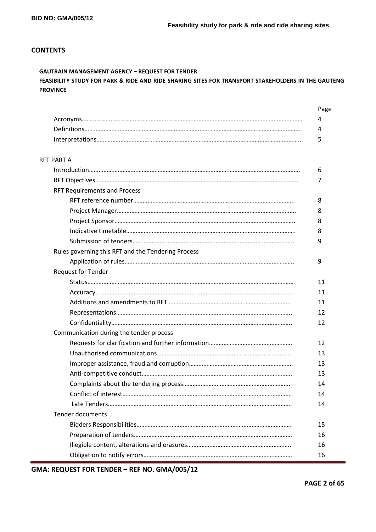# **CONTENTS**

# **GAUTRAIN MANAGEMENT AGENCY – REQUEST FOR TENDER**

# **FEASIBILITY STUDY FOR PARK & RIDE AND RIDE SHARING SITES FOR TRANSPORT STAKEHOLDERS IN THE GAUTENG PROVINCE**

|                                                    | Page |
|----------------------------------------------------|------|
|                                                    | 4    |
|                                                    | 4    |
|                                                    | 5    |
| <b>RFT PART A</b>                                  |      |
|                                                    | 6    |
|                                                    | 7    |
| <b>RFT Requirements and Process</b>                |      |
|                                                    | 8    |
|                                                    | 8    |
|                                                    | 8    |
|                                                    | 8    |
|                                                    | 9    |
| Rules governing this RFT and the Tendering Process |      |
|                                                    | 9    |
| <b>Request for Tender</b>                          |      |
|                                                    | 11   |
|                                                    | 11   |
|                                                    | 11   |
|                                                    | 12   |
|                                                    | 12   |
| Communication during the tender process            |      |
|                                                    | 12   |
|                                                    | 13   |
|                                                    | 13   |
|                                                    | 13   |
|                                                    | 14   |
|                                                    | 14   |
|                                                    | 14   |
| Tender documents                                   |      |
|                                                    | 15   |
|                                                    | 16   |
|                                                    | 16   |
|                                                    | 16   |

**GMA: REQUEST FOR TENDER – REF NO. GMA/005/12**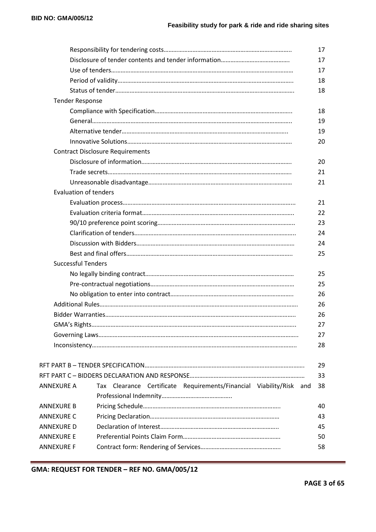|                              |                                                                     | 17 |
|------------------------------|---------------------------------------------------------------------|----|
|                              |                                                                     | 17 |
|                              |                                                                     | 17 |
|                              |                                                                     | 18 |
|                              |                                                                     | 18 |
| <b>Tender Response</b>       |                                                                     |    |
|                              |                                                                     | 18 |
|                              |                                                                     | 19 |
|                              |                                                                     | 19 |
|                              |                                                                     | 20 |
|                              | <b>Contract Disclosure Requirements</b>                             |    |
|                              |                                                                     | 20 |
|                              |                                                                     | 21 |
|                              |                                                                     | 21 |
| <b>Evaluation of tenders</b> |                                                                     |    |
|                              |                                                                     | 21 |
|                              |                                                                     | 22 |
|                              |                                                                     | 23 |
|                              | 24                                                                  |    |
|                              |                                                                     | 24 |
|                              |                                                                     | 25 |
| <b>Successful Tenders</b>    |                                                                     |    |
|                              |                                                                     | 25 |
|                              |                                                                     | 25 |
|                              |                                                                     | 26 |
|                              |                                                                     | 26 |
|                              |                                                                     | 26 |
|                              |                                                                     | 27 |
|                              |                                                                     | 27 |
|                              |                                                                     | 28 |
|                              |                                                                     | 29 |
|                              |                                                                     | 33 |
| ANNEXURE A                   | Tax Clearance Certificate Requirements/Financial Viability/Risk and | 38 |
|                              |                                                                     |    |
| ANNEXURE B                   |                                                                     | 40 |
| ANNEXURE C                   |                                                                     | 43 |
| ANNEXURE D                   |                                                                     | 45 |
| ANNEXURE E                   |                                                                     | 50 |
| ANNEXURE F                   |                                                                     | 58 |
|                              |                                                                     |    |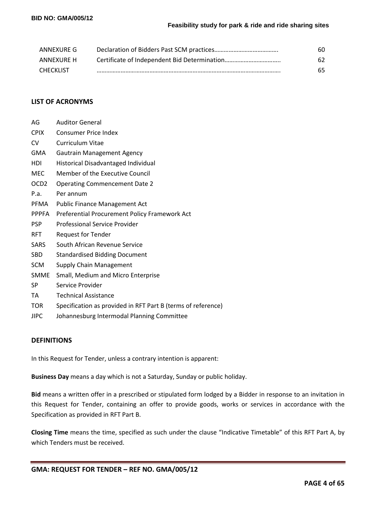| ANNEXURE G       | 60 |
|------------------|----|
| ANNEXURE H       | 62 |
| <b>CHECKLIST</b> | 65 |

# **LIST OF ACRONYMS**

| AG               | <b>Auditor General</b>                                       |
|------------------|--------------------------------------------------------------|
| <b>CPIX</b>      | <b>Consumer Price Index</b>                                  |
| CV               | Curriculum Vitae                                             |
| <b>GMA</b>       | <b>Gautrain Management Agency</b>                            |
| HDI              | Historical Disadvantaged Individual                          |
| <b>MEC</b>       | Member of the Executive Council                              |
| OCD <sub>2</sub> | <b>Operating Commencement Date 2</b>                         |
| P.a.             | Per annum                                                    |
| PFMA             | <b>Public Finance Management Act</b>                         |
| <b>PPPFA</b>     | Preferential Procurement Policy Framework Act                |
| <b>PSP</b>       | Professional Service Provider                                |
| <b>RFT</b>       | <b>Request for Tender</b>                                    |
| SARS             | South African Revenue Service                                |
| <b>SBD</b>       | <b>Standardised Bidding Document</b>                         |
| <b>SCM</b>       | Supply Chain Management                                      |
| <b>SMME</b>      | Small, Medium and Micro Enterprise                           |
| SP               | Service Provider                                             |
| TA               | <b>Technical Assistance</b>                                  |
| <b>TOR</b>       | Specification as provided in RFT Part B (terms of reference) |
| <b>JIPC</b>      | Johannesburg Intermodal Planning Committee                   |

# **DEFINITIONS**

In this Request for Tender, unless a contrary intention is apparent:

**Business Day** means a day which is not a Saturday, Sunday or public holiday.

**Bid** means a written offer in a prescribed or stipulated form lodged by a Bidder in response to an invitation in this Request for Tender, containing an offer to provide goods, works or services in accordance with the Specification as provided in RFT Part B.

**Closing Time** means the time, specified as such under the clause "Indicative Timetable" of this RFT Part A, by which Tenders must be received.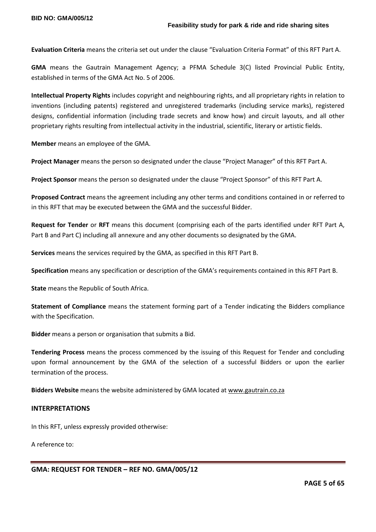**Evaluation Criteria** means the criteria set out under the clause "Evaluation Criteria Format" of this RFT Part A.

**GMA** means the Gautrain Management Agency; a PFMA Schedule 3(C) listed Provincial Public Entity, established in terms of the GMA Act No. 5 of 2006.

**Intellectual Property Rights** includes copyright and neighbouring rights, and all proprietary rights in relation to inventions (including patents) registered and unregistered trademarks (including service marks), registered designs, confidential information (including trade secrets and know how) and circuit layouts, and all other proprietary rights resulting from intellectual activity in the industrial, scientific, literary or artistic fields.

**Member** means an employee of the GMA.

**Project Manager** means the person so designated under the clause "Project Manager" of this RFT Part A.

**Project Sponsor** means the person so designated under the clause "Project Sponsor" of this RFT Part A.

**Proposed Contract** means the agreement including any other terms and conditions contained in or referred to in this RFT that may be executed between the GMA and the successful Bidder.

**Request for Tender** or **RFT** means this document (comprising each of the parts identified under RFT Part A, Part B and Part C) including all annexure and any other documents so designated by the GMA.

**Services** means the services required by the GMA, as specified in this RFT Part B.

**Specification** means any specification or description of the GMA's requirements contained in this RFT Part B.

**State** means the Republic of South Africa.

**Statement of Compliance** means the statement forming part of a Tender indicating the Bidders compliance with the Specification.

**Bidder** means a person or organisation that submits a Bid.

**Tendering Process** means the process commenced by the issuing of this Request for Tender and concluding upon formal announcement by the GMA of the selection of a successful Bidders or upon the earlier termination of the process.

**Bidders Website** means the website administered by GMA located a[t www.gautrain.co.za](http://www.gautrain.co.za/)

#### **INTERPRETATIONS**

In this RFT, unless expressly provided otherwise:

A reference to:

**GMA: REQUEST FOR TENDER – REF NO. GMA/005/12**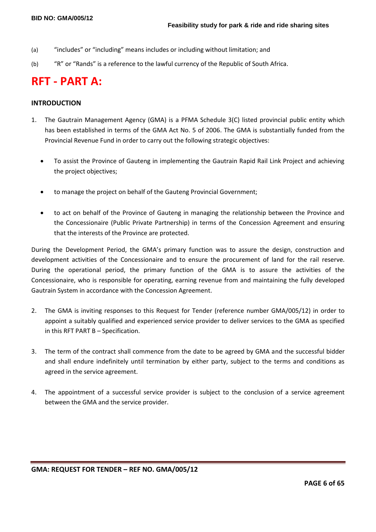- (a) "includes" or "including" means includes or including without limitation; and
- (b) "R" or "Rands" is a reference to the lawful currency of the Republic of South Africa.

# **RFT - PART A:**

## **INTRODUCTION**

- 1. The Gautrain Management Agency (GMA) is a PFMA Schedule 3(C) listed provincial public entity which has been established in terms of the GMA Act No. 5 of 2006. The GMA is substantially funded from the Provincial Revenue Fund in order to carry out the following strategic objectives:
	- To assist the Province of Gauteng in implementing the Gautrain Rapid Rail Link Project and achieving the project objectives;
	- to manage the project on behalf of the Gauteng Provincial Government;
	- to act on behalf of the Province of Gauteng in managing the relationship between the Province and the Concessionaire (Public Private Partnership) in terms of the Concession Agreement and ensuring that the interests of the Province are protected.

During the Development Period, the GMA's primary function was to assure the design, construction and development activities of the Concessionaire and to ensure the procurement of land for the rail reserve. During the operational period, the primary function of the GMA is to assure the activities of the Concessionaire, who is responsible for operating, earning revenue from and maintaining the fully developed Gautrain System in accordance with the Concession Agreement.

- 2. The GMA is inviting responses to this Request for Tender (reference number GMA/005/12) in order to appoint a suitably qualified and experienced service provider to deliver services to the GMA as specified in this RFT PART B – Specification.
- 3. The term of the contract shall commence from the date to be agreed by GMA and the successful bidder and shall endure indefinitely until termination by either party, subject to the terms and conditions as agreed in the service agreement.
- 4. The appointment of a successful service provider is subject to the conclusion of a service agreement between the GMA and the service provider.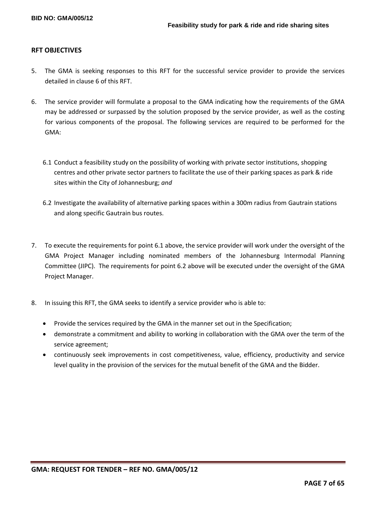# **RFT OBJECTIVES**

- 5. The GMA is seeking responses to this RFT for the successful service provider to provide the services detailed in clause 6 of this RFT.
- 6. The service provider will formulate a proposal to the GMA indicating how the requirements of the GMA may be addressed or surpassed by the solution proposed by the service provider, as well as the costing for various components of the proposal. The following services are required to be performed for the GMA:
	- 6.1 Conduct a feasibility study on the possibility of working with private sector institutions, shopping centres and other private sector partners to facilitate the use of their parking spaces as park & ride sites within the City of Johannesburg; *and*
	- 6.2 Investigate the availability of alternative parking spaces within a 300m radius from Gautrain stations and along specific Gautrain bus routes.
- 7. To execute the requirements for point 6.1 above, the service provider will work under the oversight of the GMA Project Manager including nominated members of the Johannesburg Intermodal Planning Committee (JIPC). The requirements for point 6.2 above will be executed under the oversight of the GMA Project Manager.
- 8. In issuing this RFT, the GMA seeks to identify a service provider who is able to:
	- Provide the services required by the GMA in the manner set out in the Specification;
	- demonstrate a commitment and ability to working in collaboration with the GMA over the term of the service agreement;
	- continuously seek improvements in cost competitiveness, value, efficiency, productivity and service level quality in the provision of the services for the mutual benefit of the GMA and the Bidder.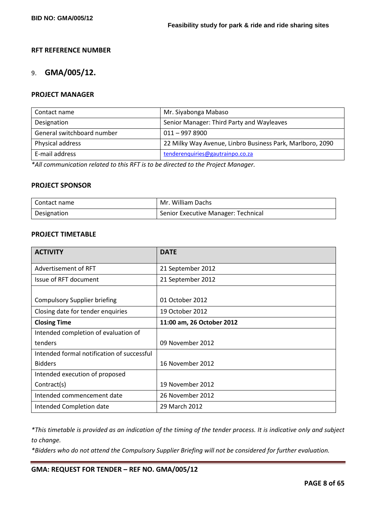# **RFT REFERENCE NUMBER**

# 9. **GMA/005/12.**

# **PROJECT MANAGER**

| Contact name               | Mr. Siyabonga Mabaso                                      |
|----------------------------|-----------------------------------------------------------|
| Designation                | Senior Manager: Third Party and Wayleaves                 |
| General switchboard number | $011 - 9978900$                                           |
| Physical address           | 22 Milky Way Avenue, Linbro Business Park, Marlboro, 2090 |
| E-mail address             | tenderenquiries@gautrainpo.co.za                          |

*\*All communication related to this RFT is to be directed to the Project Manager.*

# **PROJECT SPONSOR**

| Contact name | Mr. William Dachs                   |
|--------------|-------------------------------------|
| Designation  | Senior Executive Manager: Technical |

# **PROJECT TIMETABLE**

| <b>ACTIVITY</b>                            | <b>DATE</b>               |
|--------------------------------------------|---------------------------|
| Advertisement of RFT                       | 21 September 2012         |
| Issue of RFT document                      | 21 September 2012         |
| <b>Compulsory Supplier briefing</b>        | 01 October 2012           |
| Closing date for tender enquiries          | 19 October 2012           |
| <b>Closing Time</b>                        | 11:00 am, 26 October 2012 |
| Intended completion of evaluation of       |                           |
| tenders                                    | 09 November 2012          |
| Intended formal notification of successful |                           |
| <b>Bidders</b>                             | 16 November 2012          |
| Intended execution of proposed             |                           |
| Contract(s)                                | 19 November 2012          |
| Intended commencement date                 | 26 November 2012          |
| Intended Completion date                   | 29 March 2012             |

*\*This timetable is provided as an indication of the timing of the tender process. It is indicative only and subject to change.*

*\*Bidders who do not attend the Compulsory Supplier Briefing will not be considered for further evaluation.*

**GMA: REQUEST FOR TENDER – REF NO. GMA/005/12**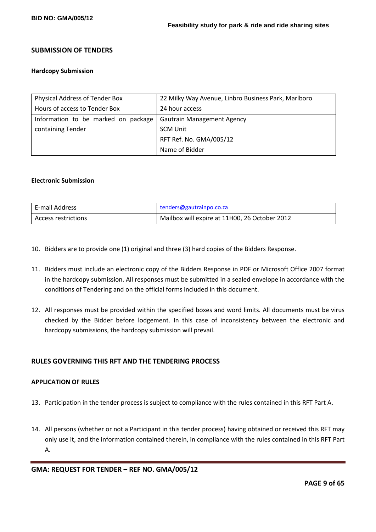# **SUBMISSION OF TENDERS**

#### **Hardcopy Submission**

| Physical Address of Tender Box      | 22 Milky Way Avenue, Linbro Business Park, Marlboro |
|-------------------------------------|-----------------------------------------------------|
| Hours of access to Tender Box       | 24 hour access                                      |
| Information to be marked on package | <b>Gautrain Management Agency</b>                   |
| containing Tender                   | <b>SCM Unit</b>                                     |
|                                     | RFT Ref. No. GMA/005/12                             |
|                                     | Name of Bidder                                      |

#### **Electronic Submission**

| E-mail Address      | tenders@gautrainpo.co.za                      |
|---------------------|-----------------------------------------------|
| Access restrictions | Mailbox will expire at 11H00, 26 October 2012 |

- 10. Bidders are to provide one (1) original and three (3) hard copies of the Bidders Response.
- 11. Bidders must include an electronic copy of the Bidders Response in PDF or Microsoft Office 2007 format in the hardcopy submission. All responses must be submitted in a sealed envelope in accordance with the conditions of Tendering and on the official forms included in this document.
- 12. All responses must be provided within the specified boxes and word limits. All documents must be virus checked by the Bidder before lodgement. In this case of inconsistency between the electronic and hardcopy submissions, the hardcopy submission will prevail.

# **RULES GOVERNING THIS RFT AND THE TENDERING PROCESS**

#### **APPLICATION OF RULES**

- 13. Participation in the tender process is subject to compliance with the rules contained in this RFT Part A.
- 14. All persons (whether or not a Participant in this tender process) having obtained or received this RFT may only use it, and the information contained therein, in compliance with the rules contained in this RFT Part A.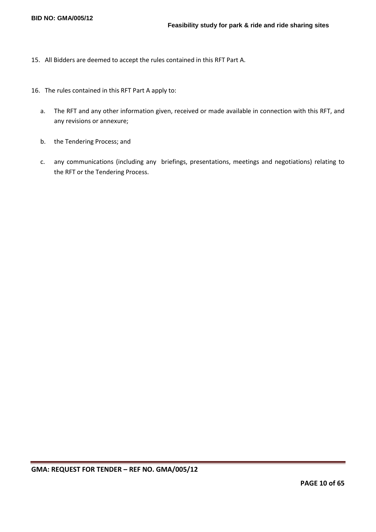- 15. All Bidders are deemed to accept the rules contained in this RFT Part A.
- 16. The rules contained in this RFT Part A apply to:
	- a. The RFT and any other information given, received or made available in connection with this RFT, and any revisions or annexure;
	- b. the Tendering Process; and
	- c. any communications (including any briefings, presentations, meetings and negotiations) relating to the RFT or the Tendering Process.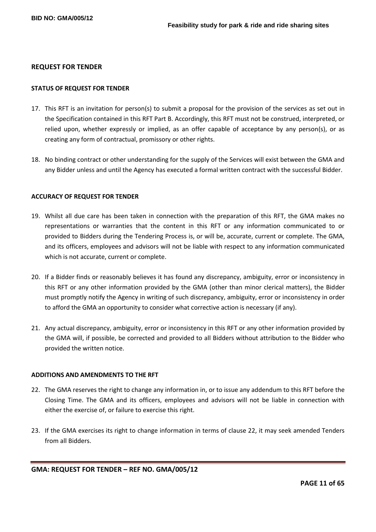#### **REQUEST FOR TENDER**

#### **STATUS OF REQUEST FOR TENDER**

- 17. This RFT is an invitation for person(s) to submit a proposal for the provision of the services as set out in the Specification contained in this RFT Part B. Accordingly, this RFT must not be construed, interpreted, or relied upon, whether expressly or implied, as an offer capable of acceptance by any person(s), or as creating any form of contractual, promissory or other rights.
- 18. No binding contract or other understanding for the supply of the Services will exist between the GMA and any Bidder unless and until the Agency has executed a formal written contract with the successful Bidder.

#### **ACCURACY OF REQUEST FOR TENDER**

- 19. Whilst all due care has been taken in connection with the preparation of this RFT, the GMA makes no representations or warranties that the content in this RFT or any information communicated to or provided to Bidders during the Tendering Process is, or will be, accurate, current or complete. The GMA, and its officers, employees and advisors will not be liable with respect to any information communicated which is not accurate, current or complete.
- 20. If a Bidder finds or reasonably believes it has found any discrepancy, ambiguity, error or inconsistency in this RFT or any other information provided by the GMA (other than minor clerical matters), the Bidder must promptly notify the Agency in writing of such discrepancy, ambiguity, error or inconsistency in order to afford the GMA an opportunity to consider what corrective action is necessary (if any).
- 21. Any actual discrepancy, ambiguity, error or inconsistency in this RFT or any other information provided by the GMA will, if possible, be corrected and provided to all Bidders without attribution to the Bidder who provided the written notice.

#### **ADDITIONS AND AMENDMENTS TO THE RFT**

- 22. The GMA reserves the right to change any information in, or to issue any addendum to this RFT before the Closing Time. The GMA and its officers, employees and advisors will not be liable in connection with either the exercise of, or failure to exercise this right.
- 23. If the GMA exercises its right to change information in terms of clause 22, it may seek amended Tenders from all Bidders.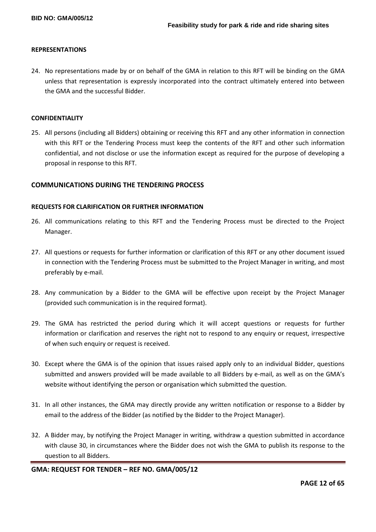#### **REPRESENTATIONS**

24. No representations made by or on behalf of the GMA in relation to this RFT will be binding on the GMA unless that representation is expressly incorporated into the contract ultimately entered into between the GMA and the successful Bidder.

#### **CONFIDENTIALITY**

25. All persons (including all Bidders) obtaining or receiving this RFT and any other information in connection with this RFT or the Tendering Process must keep the contents of the RFT and other such information confidential, and not disclose or use the information except as required for the purpose of developing a proposal in response to this RFT.

# **COMMUNICATIONS DURING THE TENDERING PROCESS**

#### **REQUESTS FOR CLARIFICATION OR FURTHER INFORMATION**

- 26. All communications relating to this RFT and the Tendering Process must be directed to the Project Manager.
- 27. All questions or requests for further information or clarification of this RFT or any other document issued in connection with the Tendering Process must be submitted to the Project Manager in writing, and most preferably by e-mail.
- 28. Any communication by a Bidder to the GMA will be effective upon receipt by the Project Manager (provided such communication is in the required format).
- 29. The GMA has restricted the period during which it will accept questions or requests for further information or clarification and reserves the right not to respond to any enquiry or request, irrespective of when such enquiry or request is received.
- 30. Except where the GMA is of the opinion that issues raised apply only to an individual Bidder, questions submitted and answers provided will be made available to all Bidders by e-mail, as well as on the GMA's website without identifying the person or organisation which submitted the question.
- 31. In all other instances, the GMA may directly provide any written notification or response to a Bidder by email to the address of the Bidder (as notified by the Bidder to the Project Manager).
- 32. A Bidder may, by notifying the Project Manager in writing, withdraw a question submitted in accordance with clause 30, in circumstances where the Bidder does not wish the GMA to publish its response to the question to all Bidders.

**GMA: REQUEST FOR TENDER – REF NO. GMA/005/12**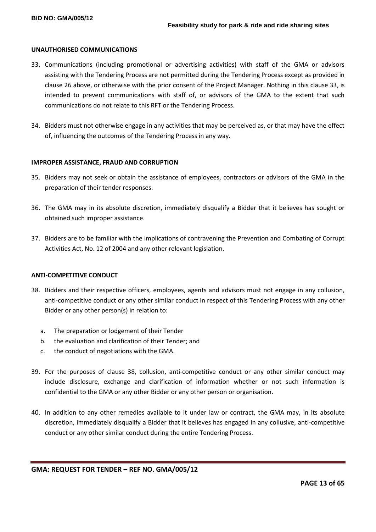#### **UNAUTHORISED COMMUNICATIONS**

- 33. Communications (including promotional or advertising activities) with staff of the GMA or advisors assisting with the Tendering Process are not permitted during the Tendering Process except as provided in clause 26 above, or otherwise with the prior consent of the Project Manager. Nothing in this clause 33, is intended to prevent communications with staff of, or advisors of the GMA to the extent that such communications do not relate to this RFT or the Tendering Process.
- 34. Bidders must not otherwise engage in any activities that may be perceived as, or that may have the effect of, influencing the outcomes of the Tendering Process in any way.

#### **IMPROPER ASSISTANCE, FRAUD AND CORRUPTION**

- 35. Bidders may not seek or obtain the assistance of employees, contractors or advisors of the GMA in the preparation of their tender responses.
- 36. The GMA may in its absolute discretion, immediately disqualify a Bidder that it believes has sought or obtained such improper assistance.
- 37. Bidders are to be familiar with the implications of contravening the Prevention and Combating of Corrupt Activities Act, No. 12 of 2004 and any other relevant legislation.

#### **ANTI-COMPETITIVE CONDUCT**

- 38. Bidders and their respective officers, employees, agents and advisors must not engage in any collusion, anti-competitive conduct or any other similar conduct in respect of this Tendering Process with any other Bidder or any other person(s) in relation to:
	- a. The preparation or lodgement of their Tender
	- b. the evaluation and clarification of their Tender; and
	- c. the conduct of negotiations with the GMA.
- 39. For the purposes of clause 38, collusion, anti-competitive conduct or any other similar conduct may include disclosure, exchange and clarification of information whether or not such information is confidential to the GMA or any other Bidder or any other person or organisation.
- 40. In addition to any other remedies available to it under law or contract, the GMA may, in its absolute discretion, immediately disqualify a Bidder that it believes has engaged in any collusive, anti-competitive conduct or any other similar conduct during the entire Tendering Process.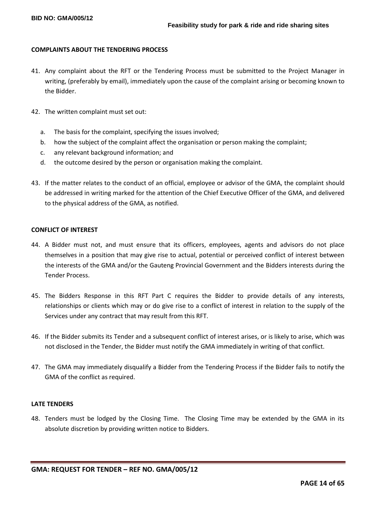#### **COMPLAINTS ABOUT THE TENDERING PROCESS**

- 41. Any complaint about the RFT or the Tendering Process must be submitted to the Project Manager in writing, (preferably by email), immediately upon the cause of the complaint arising or becoming known to the Bidder.
- 42. The written complaint must set out:
	- a. The basis for the complaint, specifying the issues involved;
	- b. how the subject of the complaint affect the organisation or person making the complaint;
	- c. any relevant background information; and
	- d. the outcome desired by the person or organisation making the complaint.
- 43. If the matter relates to the conduct of an official, employee or advisor of the GMA, the complaint should be addressed in writing marked for the attention of the Chief Executive Officer of the GMA, and delivered to the physical address of the GMA, as notified.

#### **CONFLICT OF INTEREST**

- 44. A Bidder must not, and must ensure that its officers, employees, agents and advisors do not place themselves in a position that may give rise to actual, potential or perceived conflict of interest between the interests of the GMA and/or the Gauteng Provincial Government and the Bidders interests during the Tender Process.
- 45. The Bidders Response in this RFT Part C requires the Bidder to provide details of any interests, relationships or clients which may or do give rise to a conflict of interest in relation to the supply of the Services under any contract that may result from this RFT.
- 46. If the Bidder submits its Tender and a subsequent conflict of interest arises, or is likely to arise, which was not disclosed in the Tender, the Bidder must notify the GMA immediately in writing of that conflict.
- 47. The GMA may immediately disqualify a Bidder from the Tendering Process if the Bidder fails to notify the GMA of the conflict as required.

#### **LATE TENDERS**

48. Tenders must be lodged by the Closing Time. The Closing Time may be extended by the GMA in its absolute discretion by providing written notice to Bidders.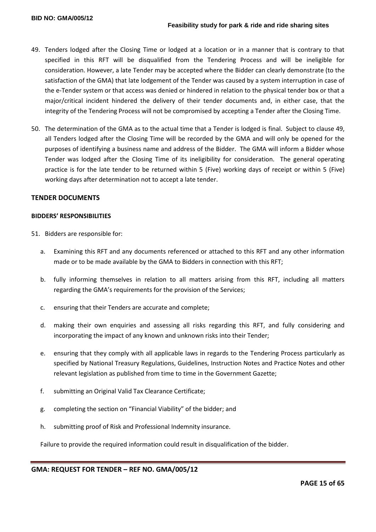- 49. Tenders lodged after the Closing Time or lodged at a location or in a manner that is contrary to that specified in this RFT will be disqualified from the Tendering Process and will be ineligible for consideration. However, a late Tender may be accepted where the Bidder can clearly demonstrate (to the satisfaction of the GMA) that late lodgement of the Tender was caused by a system interruption in case of the e-Tender system or that access was denied or hindered in relation to the physical tender box or that a major/critical incident hindered the delivery of their tender documents and, in either case, that the integrity of the Tendering Process will not be compromised by accepting a Tender after the Closing Time.
- 50. The determination of the GMA as to the actual time that a Tender is lodged is final. Subject to clause 49, all Tenders lodged after the Closing Time will be recorded by the GMA and will only be opened for the purposes of identifying a business name and address of the Bidder. The GMA will inform a Bidder whose Tender was lodged after the Closing Time of its ineligibility for consideration. The general operating practice is for the late tender to be returned within 5 (Five) working days of receipt or within 5 (Five) working days after determination not to accept a late tender.

# **TENDER DOCUMENTS**

#### **BIDDERS' RESPONSIBILITIES**

- 51. Bidders are responsible for:
	- a. Examining this RFT and any documents referenced or attached to this RFT and any other information made or to be made available by the GMA to Bidders in connection with this RFT;
	- b. fully informing themselves in relation to all matters arising from this RFT, including all matters regarding the GMA's requirements for the provision of the Services;
	- c. ensuring that their Tenders are accurate and complete;
	- d. making their own enquiries and assessing all risks regarding this RFT, and fully considering and incorporating the impact of any known and unknown risks into their Tender;
	- e. ensuring that they comply with all applicable laws in regards to the Tendering Process particularly as specified by National Treasury Regulations, Guidelines, Instruction Notes and Practice Notes and other relevant legislation as published from time to time in the Government Gazette;
	- f. submitting an Original Valid Tax Clearance Certificate;
	- g. completing the section on "Financial Viability" of the bidder; and
	- h. submitting proof of Risk and Professional Indemnity insurance.

Failure to provide the required information could result in disqualification of the bidder.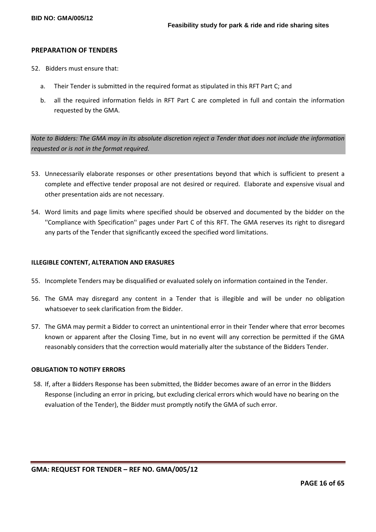#### **PREPARATION OF TENDERS**

- 52. Bidders must ensure that:
	- a. Their Tender is submitted in the required format as stipulated in this RFT Part C; and
	- b. all the required information fields in RFT Part C are completed in full and contain the information requested by the GMA.

*Note to Bidders: The GMA may in its absolute discretion reject a Tender that does not include the information requested or is not in the format required.*

- 53. Unnecessarily elaborate responses or other presentations beyond that which is sufficient to present a complete and effective tender proposal are not desired or required. Elaborate and expensive visual and other presentation aids are not necessary.
- 54. Word limits and page limits where specified should be observed and documented by the bidder on the ''Compliance with Specification'' pages under Part C of this RFT. The GMA reserves its right to disregard any parts of the Tender that significantly exceed the specified word limitations.

#### **ILLEGIBLE CONTENT, ALTERATION AND ERASURES**

- 55. Incomplete Tenders may be disqualified or evaluated solely on information contained in the Tender.
- 56. The GMA may disregard any content in a Tender that is illegible and will be under no obligation whatsoever to seek clarification from the Bidder.
- 57. The GMA may permit a Bidder to correct an unintentional error in their Tender where that error becomes known or apparent after the Closing Time, but in no event will any correction be permitted if the GMA reasonably considers that the correction would materially alter the substance of the Bidders Tender.

#### **OBLIGATION TO NOTIFY ERRORS**

58. If, after a Bidders Response has been submitted, the Bidder becomes aware of an error in the Bidders Response (including an error in pricing, but excluding clerical errors which would have no bearing on the evaluation of the Tender), the Bidder must promptly notify the GMA of such error.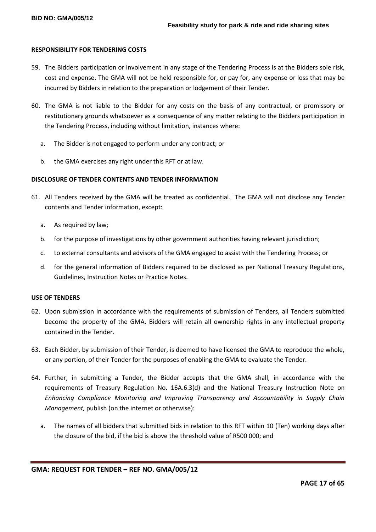#### **RESPONSIBILITY FOR TENDERING COSTS**

- 59. The Bidders participation or involvement in any stage of the Tendering Process is at the Bidders sole risk, cost and expense. The GMA will not be held responsible for, or pay for, any expense or loss that may be incurred by Bidders in relation to the preparation or lodgement of their Tender.
- 60. The GMA is not liable to the Bidder for any costs on the basis of any contractual, or promissory or restitutionary grounds whatsoever as a consequence of any matter relating to the Bidders participation in the Tendering Process, including without limitation, instances where:
	- a. The Bidder is not engaged to perform under any contract; or
	- b. the GMA exercises any right under this RFT or at law.

#### **DISCLOSURE OF TENDER CONTENTS AND TENDER INFORMATION**

- 61. All Tenders received by the GMA will be treated as confidential. The GMA will not disclose any Tender contents and Tender information, except:
	- a. As required by law;
	- b. for the purpose of investigations by other government authorities having relevant jurisdiction;
	- c. to external consultants and advisors of the GMA engaged to assist with the Tendering Process; or
	- d. for the general information of Bidders required to be disclosed as per National Treasury Regulations, Guidelines, Instruction Notes or Practice Notes.

#### **USE OF TENDERS**

- 62. Upon submission in accordance with the requirements of submission of Tenders, all Tenders submitted become the property of the GMA. Bidders will retain all ownership rights in any intellectual property contained in the Tender.
- 63. Each Bidder, by submission of their Tender, is deemed to have licensed the GMA to reproduce the whole, or any portion, of their Tender for the purposes of enabling the GMA to evaluate the Tender.
- 64. Further, in submitting a Tender, the Bidder accepts that the GMA shall, in accordance with the requirements of Treasury Regulation No. 16A.6.3(d) and the National Treasury Instruction Note on *Enhancing Compliance Monitoring and Improving Transparency and Accountability in Supply Chain Management,* publish (on the internet or otherwise):
	- a. The names of all bidders that submitted bids in relation to this RFT within 10 (Ten) working days after the closure of the bid, if the bid is above the threshold value of R500 000; and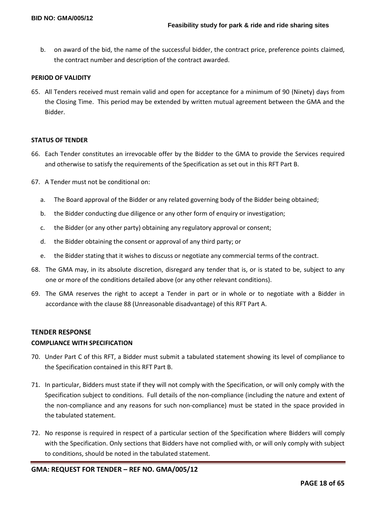b. on award of the bid, the name of the successful bidder, the contract price, preference points claimed, the contract number and description of the contract awarded.

## **PERIOD OF VALIDITY**

65. All Tenders received must remain valid and open for acceptance for a minimum of 90 (Ninety) days from the Closing Time. This period may be extended by written mutual agreement between the GMA and the Bidder.

#### **STATUS OF TENDER**

- 66. Each Tender constitutes an irrevocable offer by the Bidder to the GMA to provide the Services required and otherwise to satisfy the requirements of the Specification as set out in this RFT Part B.
- 67. A Tender must not be conditional on:
	- a. The Board approval of the Bidder or any related governing body of the Bidder being obtained;
	- b. the Bidder conducting due diligence or any other form of enquiry or investigation;
	- c. the Bidder (or any other party) obtaining any regulatory approval or consent;
	- d. the Bidder obtaining the consent or approval of any third party; or
	- e. the Bidder stating that it wishes to discuss or negotiate any commercial terms of the contract.
- 68. The GMA may, in its absolute discretion, disregard any tender that is, or is stated to be, subject to any one or more of the conditions detailed above (or any other relevant conditions).
- 69. The GMA reserves the right to accept a Tender in part or in whole or to negotiate with a Bidder in accordance with the clause 88 (Unreasonable disadvantage) of this RFT Part A.

#### **TENDER RESPONSE**

### **COMPLIANCE WITH SPECIFICATION**

- 70. Under Part C of this RFT, a Bidder must submit a tabulated statement showing its level of compliance to the Specification contained in this RFT Part B.
- 71. In particular, Bidders must state if they will not comply with the Specification, or will only comply with the Specification subject to conditions. Full details of the non-compliance (including the nature and extent of the non-compliance and any reasons for such non-compliance) must be stated in the space provided in the tabulated statement.
- 72. No response is required in respect of a particular section of the Specification where Bidders will comply with the Specification. Only sections that Bidders have not complied with, or will only comply with subject to conditions, should be noted in the tabulated statement.

#### **GMA: REQUEST FOR TENDER – REF NO. GMA/005/12**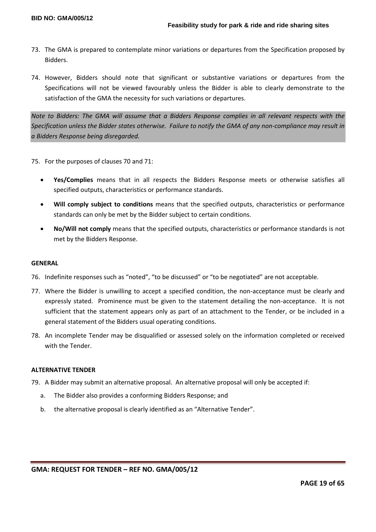- 73. The GMA is prepared to contemplate minor variations or departures from the Specification proposed by Bidders.
- 74. However, Bidders should note that significant or substantive variations or departures from the Specifications will not be viewed favourably unless the Bidder is able to clearly demonstrate to the satisfaction of the GMA the necessity for such variations or departures.

*Note to Bidders: The GMA will assume that a Bidders Response complies in all relevant respects with the Specification unless the Bidder states otherwise. Failure to notify the GMA of any non-compliance may result in a Bidders Response being disregarded.*

75. For the purposes of clauses 70 and 71:

- **Yes/Complies** means that in all respects the Bidders Response meets or otherwise satisfies all specified outputs, characteristics or performance standards.
- **Will comply subject to conditions** means that the specified outputs, characteristics or performance standards can only be met by the Bidder subject to certain conditions.
- **No/Will not comply** means that the specified outputs, characteristics or performance standards is not met by the Bidders Response.

#### **GENERAL**

- 76. Indefinite responses such as "noted", "to be discussed" or "to be negotiated" are not acceptable.
- 77. Where the Bidder is unwilling to accept a specified condition, the non-acceptance must be clearly and expressly stated. Prominence must be given to the statement detailing the non-acceptance. It is not sufficient that the statement appears only as part of an attachment to the Tender, or be included in a general statement of the Bidders usual operating conditions.
- 78. An incomplete Tender may be disqualified or assessed solely on the information completed or received with the Tender.

# **ALTERNATIVE TENDER**

- 79. A Bidder may submit an alternative proposal. An alternative proposal will only be accepted if:
	- a. The Bidder also provides a conforming Bidders Response; and
	- b. the alternative proposal is clearly identified as an "Alternative Tender".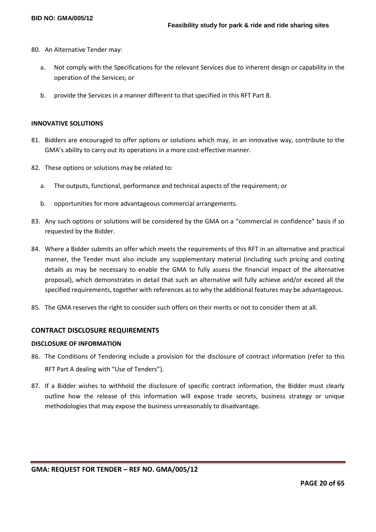- 80. An Alternative Tender may:
	- a. Not comply with the Specifications for the relevant Services due to inherent design or capability in the operation of the Services; or
	- b. provide the Services in a manner different to that specified in this RFT Part B.

#### **INNOVATIVE SOLUTIONS**

- 81. Bidders are encouraged to offer options or solutions which may, in an innovative way, contribute to the GMA's ability to carry out its operations in a more cost-effective manner.
- 82. These options or solutions may be related to:
	- a. The outputs, functional, performance and technical aspects of the requirement; or
	- b. opportunities for more advantageous commercial arrangements.
- 83. Any such options or solutions will be considered by the GMA on a "commercial in confidence" basis if so requested by the Bidder.
- 84. Where a Bidder submits an offer which meets the requirements of this RFT in an alternative and practical manner, the Tender must also include any supplementary material (including such pricing and costing details as may be necessary to enable the GMA to fully assess the financial impact of the alternative proposal), which demonstrates in detail that such an alternative will fully achieve and/or exceed all the specified requirements, together with references as to why the additional features may be advantageous.
- 85. The GMA reserves the right to consider such offers on their merits or not to consider them at all.

## **CONTRACT DISCLOSURE REQUIREMENTS**

#### **DISCLOSURE OF INFORMATION**

- 86. The Conditions of Tendering include a provision for the disclosure of contract information (refer to this RFT Part A dealing with "Use of Tenders").
- 87. If a Bidder wishes to withhold the disclosure of specific contract information, the Bidder must clearly outline how the release of this information will expose trade secrets, business strategy or unique methodologies that may expose the business unreasonably to disadvantage.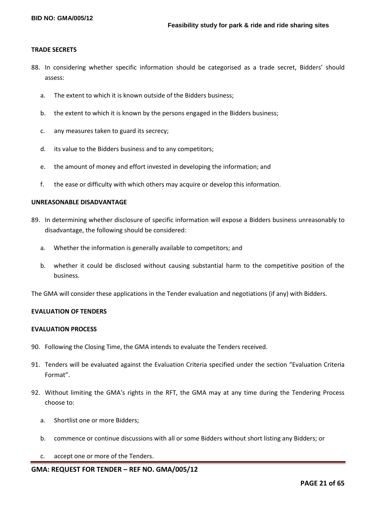#### **TRADE SECRETS**

- 88. In considering whether specific information should be categorised as a trade secret, Bidders' should assess:
	- a. The extent to which it is known outside of the Bidders business;
	- b. the extent to which it is known by the persons engaged in the Bidders business;
	- c. any measures taken to guard its secrecy;
	- d. its value to the Bidders business and to any competitors;
	- e. the amount of money and effort invested in developing the information; and
	- f. the ease or difficulty with which others may acquire or develop this information.

#### **UNREASONABLE DISADVANTAGE**

- 89. In determining whether disclosure of specific information will expose a Bidders business unreasonably to disadvantage, the following should be considered:
	- a. Whether the information is generally available to competitors; and
	- b. whether it could be disclosed without causing substantial harm to the competitive position of the business.

The GMA will consider these applications in the Tender evaluation and negotiations (if any) with Bidders.

#### **EVALUATION OF TENDERS**

#### **EVALUATION PROCESS**

- 90. Following the Closing Time, the GMA intends to evaluate the Tenders received.
- 91. Tenders will be evaluated against the Evaluation Criteria specified under the section "Evaluation Criteria Format".
- 92. Without limiting the GMA's rights in the RFT, the GMA may at any time during the Tendering Process choose to:
	- a. Shortlist one or more Bidders;
	- b. commence or continue discussions with all or some Bidders without short listing any Bidders; or
	- c. accept one or more of the Tenders.

# **GMA: REQUEST FOR TENDER – REF NO. GMA/005/12**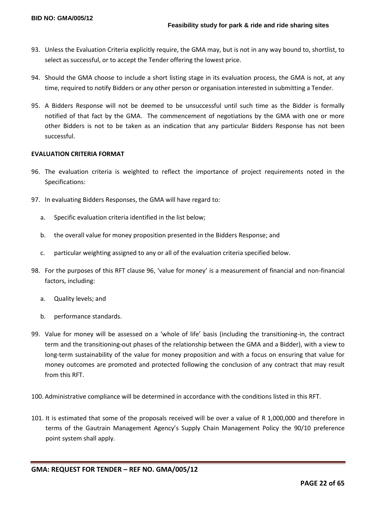- 93. Unless the Evaluation Criteria explicitly require, the GMA may, but is not in any way bound to, shortlist, to select as successful, or to accept the Tender offering the lowest price.
- 94. Should the GMA choose to include a short listing stage in its evaluation process, the GMA is not, at any time, required to notify Bidders or any other person or organisation interested in submitting a Tender.
- 95. A Bidders Response will not be deemed to be unsuccessful until such time as the Bidder is formally notified of that fact by the GMA. The commencement of negotiations by the GMA with one or more other Bidders is not to be taken as an indication that any particular Bidders Response has not been successful.

# **EVALUATION CRITERIA FORMAT**

- 96. The evaluation criteria is weighted to reflect the importance of project requirements noted in the Specifications:
- 97. In evaluating Bidders Responses, the GMA will have regard to:
	- a. Specific evaluation criteria identified in the list below;
	- b. the overall value for money proposition presented in the Bidders Response; and
	- c. particular weighting assigned to any or all of the evaluation criteria specified below.
- 98. For the purposes of this RFT clause 96, 'value for money' is a measurement of financial and non-financial factors, including:
	- a. Quality levels; and
	- b. performance standards.
- 99. Value for money will be assessed on a 'whole of life' basis (including the transitioning-in, the contract term and the transitioning-out phases of the relationship between the GMA and a Bidder), with a view to long-term sustainability of the value for money proposition and with a focus on ensuring that value for money outcomes are promoted and protected following the conclusion of any contract that may result from this RFT.
- 100. Administrative compliance will be determined in accordance with the conditions listed in this RFT.
- 101. It is estimated that some of the proposals received will be over a value of R 1,000,000 and therefore in terms of the Gautrain Management Agency's Supply Chain Management Policy the 90/10 preference point system shall apply.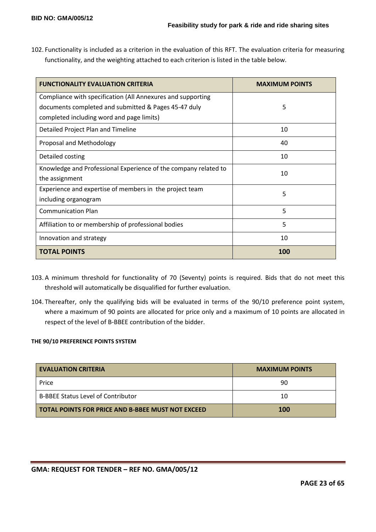102. Functionality is included as a criterion in the evaluation of this RFT. The evaluation criteria for measuring functionality, and the weighting attached to each criterion is listed in the table below.

| <b>FUNCTIONALITY EVALUATION CRITERIA</b>                        | <b>MAXIMUM POINTS</b> |
|-----------------------------------------------------------------|-----------------------|
| Compliance with specification (All Annexures and supporting     |                       |
| documents completed and submitted & Pages 45-47 duly            | 5                     |
| completed including word and page limits)                       |                       |
| Detailed Project Plan and Timeline                              | 10                    |
| Proposal and Methodology                                        | 40                    |
| Detailed costing                                                | 10                    |
| Knowledge and Professional Experience of the company related to | 10                    |
| the assignment                                                  |                       |
| Experience and expertise of members in the project team<br>5    |                       |
| including organogram                                            |                       |
| <b>Communication Plan</b>                                       | 5                     |
| Affiliation to or membership of professional bodies             | 5                     |
| Innovation and strategy                                         | 10                    |
| <b>TOTAL POINTS</b>                                             | 100                   |

- 103. A minimum threshold for functionality of 70 (Seventy) points is required. Bids that do not meet this threshold will automatically be disqualified for further evaluation.
- 104. Thereafter, only the qualifying bids will be evaluated in terms of the 90/10 preference point system, where a maximum of 90 points are allocated for price only and a maximum of 10 points are allocated in respect of the level of B-BBEE contribution of the bidder.

# **THE 90/10 PREFERENCE POINTS SYSTEM**

| <b>EVALUATION CRITERIA</b>                               | <b>MAXIMUM POINTS</b> |
|----------------------------------------------------------|-----------------------|
| Price                                                    | 90                    |
| <b>B-BBEE Status Level of Contributor</b>                | 10                    |
| <b>TOTAL POINTS FOR PRICE AND B-BBEE MUST NOT EXCEED</b> | <b>100</b>            |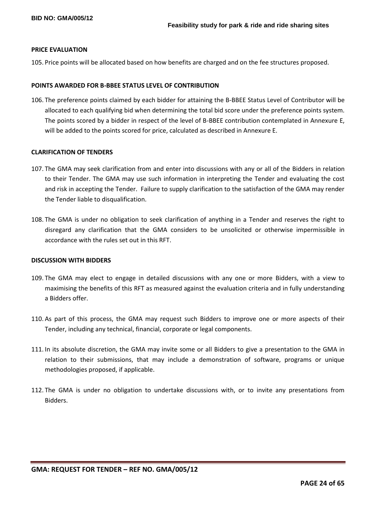#### **PRICE EVALUATION**

105. Price points will be allocated based on how benefits are charged and on the fee structures proposed.

#### **POINTS AWARDED FOR B-BBEE STATUS LEVEL OF CONTRIBUTION**

106. The preference points claimed by each bidder for attaining the B-BBEE Status Level of Contributor will be allocated to each qualifying bid when determining the total bid score under the preference points system. The points scored by a bidder in respect of the level of B-BBEE contribution contemplated in Annexure E, will be added to the points scored for price, calculated as described in Annexure E.

#### **CLARIFICATION OF TENDERS**

- 107. The GMA may seek clarification from and enter into discussions with any or all of the Bidders in relation to their Tender. The GMA may use such information in interpreting the Tender and evaluating the cost and risk in accepting the Tender. Failure to supply clarification to the satisfaction of the GMA may render the Tender liable to disqualification.
- 108. The GMA is under no obligation to seek clarification of anything in a Tender and reserves the right to disregard any clarification that the GMA considers to be unsolicited or otherwise impermissible in accordance with the rules set out in this RFT.

#### **DISCUSSION WITH BIDDERS**

- 109. The GMA may elect to engage in detailed discussions with any one or more Bidders, with a view to maximising the benefits of this RFT as measured against the evaluation criteria and in fully understanding a Bidders offer.
- 110. As part of this process, the GMA may request such Bidders to improve one or more aspects of their Tender, including any technical, financial, corporate or legal components.
- 111. In its absolute discretion, the GMA may invite some or all Bidders to give a presentation to the GMA in relation to their submissions, that may include a demonstration of software, programs or unique methodologies proposed, if applicable.
- 112. The GMA is under no obligation to undertake discussions with, or to invite any presentations from Bidders.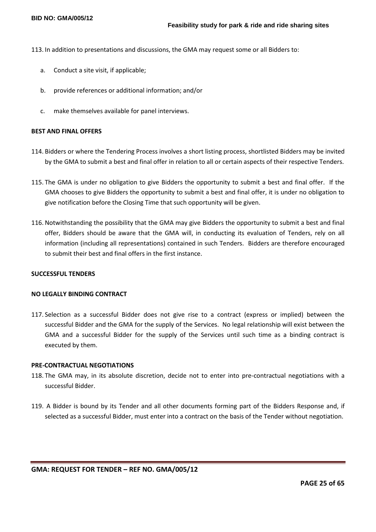113. In addition to presentations and discussions, the GMA may request some or all Bidders to:

- a. Conduct a site visit, if applicable;
- b. provide references or additional information; and/or
- c. make themselves available for panel interviews.

#### **BEST AND FINAL OFFERS**

- 114. Bidders or where the Tendering Process involves a short listing process, shortlisted Bidders may be invited by the GMA to submit a best and final offer in relation to all or certain aspects of their respective Tenders.
- 115. The GMA is under no obligation to give Bidders the opportunity to submit a best and final offer. If the GMA chooses to give Bidders the opportunity to submit a best and final offer, it is under no obligation to give notification before the Closing Time that such opportunity will be given.
- 116. Notwithstanding the possibility that the GMA may give Bidders the opportunity to submit a best and final offer, Bidders should be aware that the GMA will, in conducting its evaluation of Tenders, rely on all information (including all representations) contained in such Tenders. Bidders are therefore encouraged to submit their best and final offers in the first instance.

#### **SUCCESSFUL TENDERS**

#### **NO LEGALLY BINDING CONTRACT**

117. Selection as a successful Bidder does not give rise to a contract (express or implied) between the successful Bidder and the GMA for the supply of the Services. No legal relationship will exist between the GMA and a successful Bidder for the supply of the Services until such time as a binding contract is executed by them.

#### **PRE-CONTRACTUAL NEGOTIATIONS**

- 118. The GMA may, in its absolute discretion, decide not to enter into pre-contractual negotiations with a successful Bidder.
- 119. A Bidder is bound by its Tender and all other documents forming part of the Bidders Response and, if selected as a successful Bidder, must enter into a contract on the basis of the Tender without negotiation.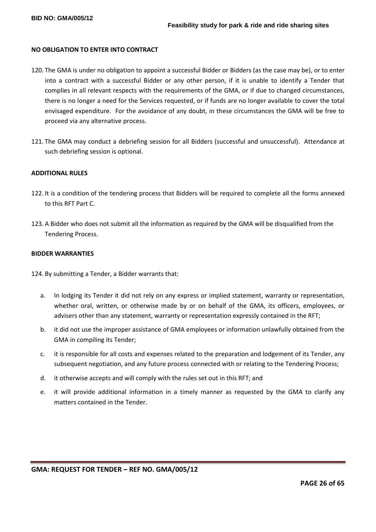#### **NO OBLIGATION TO ENTER INTO CONTRACT**

- 120. The GMA is under no obligation to appoint a successful Bidder or Bidders (as the case may be), or to enter into a contract with a successful Bidder or any other person, if it is unable to identify a Tender that complies in all relevant respects with the requirements of the GMA, or if due to changed circumstances, there is no longer a need for the Services requested, or if funds are no longer available to cover the total envisaged expenditure. For the avoidance of any doubt, in these circumstances the GMA will be free to proceed via any alternative process.
- 121. The GMA may conduct a debriefing session for all Bidders (successful and unsuccessful). Attendance at such debriefing session is optional.

#### **ADDITIONAL RULES**

- 122. It is a condition of the tendering process that Bidders will be required to complete all the forms annexed to this RFT Part C.
- 123. A Bidder who does not submit all the information as required by the GMA will be disqualified from the Tendering Process.

#### **BIDDER WARRANTIES**

124. By submitting a Tender, a Bidder warrants that:

- a. In lodging its Tender it did not rely on any express or implied statement, warranty or representation, whether oral, written, or otherwise made by or on behalf of the GMA, its officers, employees, or advisers other than any statement, warranty or representation expressly contained in the RFT;
- b. it did not use the improper assistance of GMA employees or information unlawfully obtained from the GMA in compiling its Tender;
- c. it is responsible for all costs and expenses related to the preparation and lodgement of its Tender, any subsequent negotiation, and any future process connected with or relating to the Tendering Process;
- d. it otherwise accepts and will comply with the rules set out in this RFT; and
- e. it will provide additional information in a timely manner as requested by the GMA to clarify any matters contained in the Tender.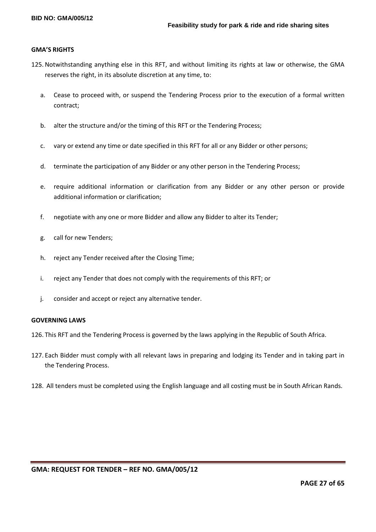#### **GMA'S RIGHTS**

- 125. Notwithstanding anything else in this RFT, and without limiting its rights at law or otherwise, the GMA reserves the right, in its absolute discretion at any time, to:
	- a. Cease to proceed with, or suspend the Tendering Process prior to the execution of a formal written contract;
	- b. alter the structure and/or the timing of this RFT or the Tendering Process;
	- c. vary or extend any time or date specified in this RFT for all or any Bidder or other persons;
	- d. terminate the participation of any Bidder or any other person in the Tendering Process;
	- e. require additional information or clarification from any Bidder or any other person or provide additional information or clarification;
	- f. negotiate with any one or more Bidder and allow any Bidder to alter its Tender;
	- g. call for new Tenders;
	- h. reject any Tender received after the Closing Time;
	- i. reject any Tender that does not comply with the requirements of this RFT; or
	- j. consider and accept or reject any alternative tender.

# **GOVERNING LAWS**

126. This RFT and the Tendering Process is governed by the laws applying in the Republic of South Africa.

- 127. Each Bidder must comply with all relevant laws in preparing and lodging its Tender and in taking part in the Tendering Process.
- 128. All tenders must be completed using the English language and all costing must be in South African Rands.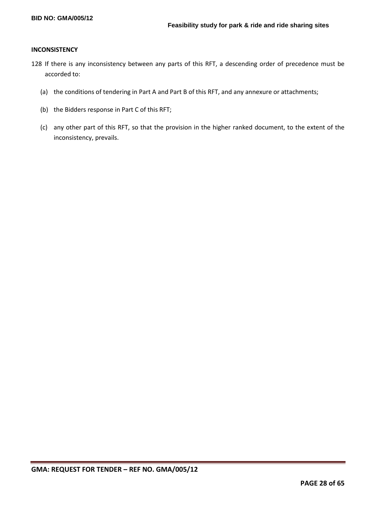#### **INCONSISTENCY**

- 128 If there is any inconsistency between any parts of this RFT, a descending order of precedence must be accorded to:
	- (a) the conditions of tendering in Part A and Part B of this RFT, and any annexure or attachments;
	- (b) the Bidders response in Part C of this RFT;
	- (c) any other part of this RFT, so that the provision in the higher ranked document, to the extent of the inconsistency, prevails.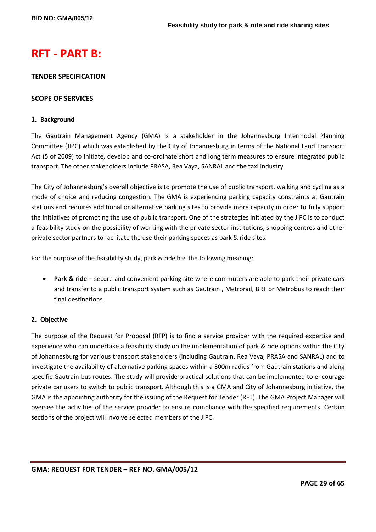# **RFT - PART B:**

# **TENDER SPECIFICATION**

# **SCOPE OF SERVICES**

## **1. Background**

The Gautrain Management Agency (GMA) is a stakeholder in the Johannesburg Intermodal Planning Committee (JIPC) which was established by the City of Johannesburg in terms of the National Land Transport Act (5 of 2009) to initiate, develop and co-ordinate short and long term measures to ensure integrated public transport. The other stakeholders include PRASA, Rea Vaya, SANRAL and the taxi industry.

The City of Johannesburg's overall objective is to promote the use of public transport, walking and cycling as a mode of choice and reducing congestion. The GMA is experiencing parking capacity constraints at Gautrain stations and requires additional or alternative parking sites to provide more capacity in order to fully support the initiatives of promoting the use of public transport. One of the strategies initiated by the JIPC is to conduct a feasibility study on the possibility of working with the private sector institutions, shopping centres and other private sector partners to facilitate the use their parking spaces as park & ride sites.

For the purpose of the feasibility study, park & ride has the following meaning:

 **Park & ride** – secure and convenient parking site where commuters are able to park their private cars and transfer to a public transport system such as Gautrain , Metrorail, BRT or Metrobus to reach their final destinations.

# **2. Objective**

The purpose of the Request for Proposal (RFP) is to find a service provider with the required expertise and experience who can undertake a feasibility study on the implementation of park & ride options within the City of Johannesburg for various transport stakeholders (including Gautrain, Rea Vaya, PRASA and SANRAL) and to investigate the availability of alternative parking spaces within a 300m radius from Gautrain stations and along specific Gautrain bus routes. The study will provide practical solutions that can be implemented to encourage private car users to switch to public transport. Although this is a GMA and City of Johannesburg initiative, the GMA is the appointing authority for the issuing of the Request for Tender (RFT). The GMA Project Manager will oversee the activities of the service provider to ensure compliance with the specified requirements. Certain sections of the project will involve selected members of the JIPC.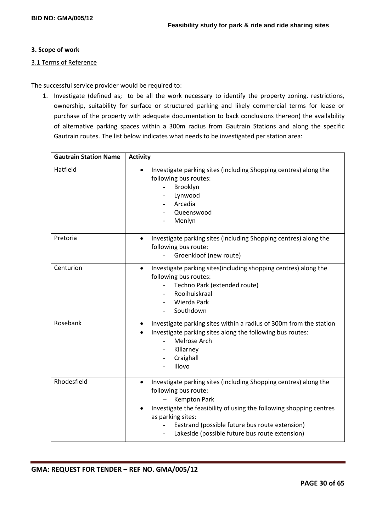# **3. Scope of work**

# 3.1 Terms of Reference

The successful service provider would be required to:

1. Investigate (defined as; to be all the work necessary to identify the property zoning, restrictions, ownership, suitability for surface or structured parking and likely commercial terms for lease or purchase of the property with adequate documentation to back conclusions thereon) the availability of alternative parking spaces within a 300m radius from Gautrain Stations and along the specific Gautrain routes. The list below indicates what needs to be investigated per station area:

| <b>Gautrain Station Name</b> | <b>Activity</b>                                                                                                                                                                                                                                                                                                              |
|------------------------------|------------------------------------------------------------------------------------------------------------------------------------------------------------------------------------------------------------------------------------------------------------------------------------------------------------------------------|
| Hatfield                     | Investigate parking sites (including Shopping centres) along the<br>following bus routes:<br>Brooklyn<br>Lynwood<br>Arcadia<br>Queenswood<br>Menlyn                                                                                                                                                                          |
| Pretoria                     | Investigate parking sites (including Shopping centres) along the<br>$\bullet$<br>following bus route:<br>Groenkloof (new route)                                                                                                                                                                                              |
| Centurion                    | Investigate parking sites(including shopping centres) along the<br>$\bullet$<br>following bus routes:<br>Techno Park (extended route)<br>Rooihuiskraal<br>Wierda Park<br>Southdown                                                                                                                                           |
| Rosebank                     | Investigate parking sites within a radius of 300m from the station<br>Investigate parking sites along the following bus routes:<br>Melrose Arch<br>$\equiv$<br>Killarney<br>Craighall<br>Illovo                                                                                                                              |
| Rhodesfield                  | Investigate parking sites (including Shopping centres) along the<br>$\bullet$<br>following bus route:<br><b>Kempton Park</b><br>Investigate the feasibility of using the following shopping centres<br>as parking sites:<br>Eastrand (possible future bus route extension)<br>Lakeside (possible future bus route extension) |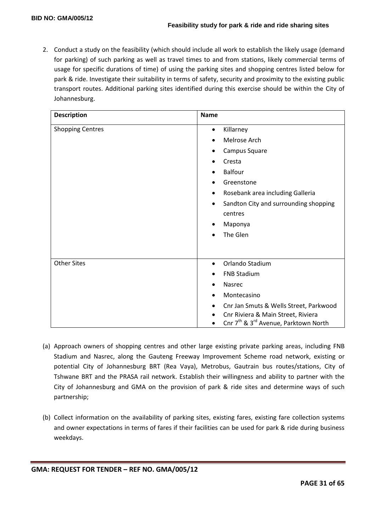2. Conduct a study on the feasibility (which should include all work to establish the likely usage (demand for parking) of such parking as well as travel times to and from stations, likely commercial terms of usage for specific durations of time) of using the parking sites and shopping centres listed below for park & ride. Investigate their suitability in terms of safety, security and proximity to the existing public transport routes. Additional parking sites identified during this exercise should be within the City of Johannesburg.

| <b>Description</b>      | <b>Name</b>                                                  |
|-------------------------|--------------------------------------------------------------|
| <b>Shopping Centres</b> | Killarney<br>$\bullet$                                       |
|                         | Melrose Arch                                                 |
|                         | Campus Square<br>$\bullet$                                   |
|                         | Cresta                                                       |
|                         | <b>Balfour</b>                                               |
|                         | Greenstone                                                   |
|                         | Rosebank area including Galleria<br>$\bullet$                |
|                         | Sandton City and surrounding shopping<br>$\bullet$           |
|                         | centres                                                      |
|                         | Maponya<br>٠                                                 |
|                         | The Glen                                                     |
|                         |                                                              |
| <b>Other Sites</b>      | Orlando Stadium<br>$\bullet$                                 |
|                         | <b>FNB Stadium</b><br>٠                                      |
|                         | Nasrec                                                       |
|                         | Montecasino                                                  |
|                         | Cnr Jan Smuts & Wells Street, Parkwood                       |
|                         | Cnr Riviera & Main Street, Riviera                           |
|                         | Cnr 7 <sup>th</sup> & 3 <sup>rd</sup> Avenue, Parktown North |

- (a) Approach owners of shopping centres and other large existing private parking areas, including FNB Stadium and Nasrec, along the Gauteng Freeway Improvement Scheme road network, existing or potential City of Johannesburg BRT (Rea Vaya), Metrobus, Gautrain bus routes/stations, City of Tshwane BRT and the PRASA rail network. Establish their willingness and ability to partner with the City of Johannesburg and GMA on the provision of park & ride sites and determine ways of such partnership;
- (b) Collect information on the availability of parking sites, existing fares, existing fare collection systems and owner expectations in terms of fares if their facilities can be used for park & ride during business weekdays.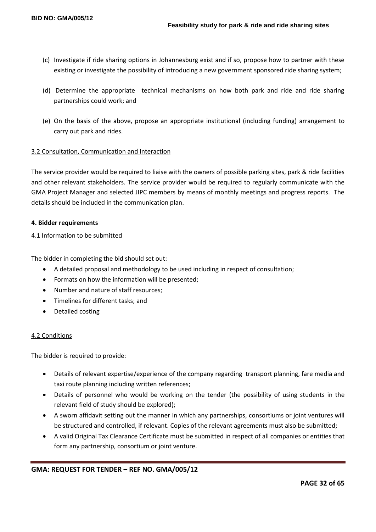- (c) Investigate if ride sharing options in Johannesburg exist and if so, propose how to partner with these existing or investigate the possibility of introducing a new government sponsored ride sharing system;
- (d) Determine the appropriate technical mechanisms on how both park and ride and ride sharing partnerships could work; and
- (e) On the basis of the above, propose an appropriate institutional (including funding) arrangement to carry out park and rides.

# 3.2 Consultation, Communication and Interaction

The service provider would be required to liaise with the owners of possible parking sites, park & ride facilities and other relevant stakeholders. The service provider would be required to regularly communicate with the GMA Project Manager and selected JIPC members by means of monthly meetings and progress reports. The details should be included in the communication plan.

# **4. Bidder requirements**

# 4.1 Information to be submitted

The bidder in completing the bid should set out:

- A detailed proposal and methodology to be used including in respect of consultation;
- Formats on how the information will be presented;
- Number and nature of staff resources;
- Timelines for different tasks; and
- Detailed costing

# 4.2 Conditions

The bidder is required to provide:

- Details of relevant expertise/experience of the company regarding transport planning, fare media and taxi route planning including written references;
- Details of personnel who would be working on the tender (the possibility of using students in the relevant field of study should be explored);
- A sworn affidavit setting out the manner in which any partnerships, consortiums or joint ventures will be structured and controlled, if relevant. Copies of the relevant agreements must also be submitted;
- A valid Original Tax Clearance Certificate must be submitted in respect of all companies or entities that form any partnership, consortium or joint venture.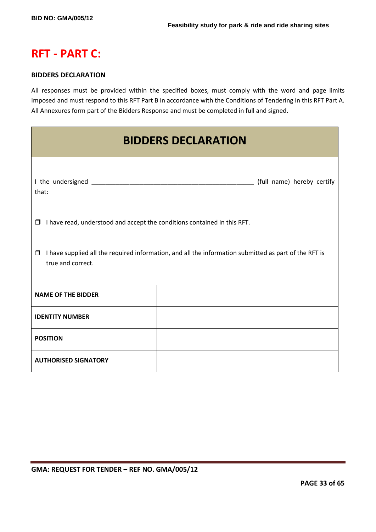# **RFT - PART C:**

# **BIDDERS DECLARATION**

All responses must be provided within the specified boxes, must comply with the word and page limits imposed and must respond to this RFT Part B in accordance with the Conditions of Tendering in this RFT Part A. All Annexures form part of the Bidders Response and must be completed in full and signed.

| <b>BIDDERS DECLARATION</b>                                                                                                           |                            |  |  |
|--------------------------------------------------------------------------------------------------------------------------------------|----------------------------|--|--|
| that:                                                                                                                                | (full name) hereby certify |  |  |
| $\Box$ I have read, understood and accept the conditions contained in this RFT.                                                      |                            |  |  |
| I have supplied all the required information, and all the information submitted as part of the RFT is<br>$\Box$<br>true and correct. |                            |  |  |
| <b>NAME OF THE BIDDER</b>                                                                                                            |                            |  |  |
| <b>IDENTITY NUMBER</b>                                                                                                               |                            |  |  |
| <b>POSITION</b>                                                                                                                      |                            |  |  |
| <b>AUTHORISED SIGNATORY</b>                                                                                                          |                            |  |  |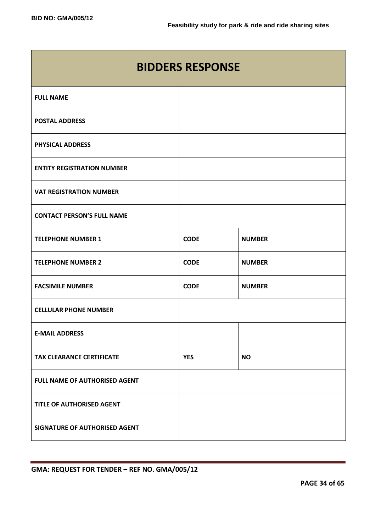| <b>BIDDERS RESPONSE</b>           |             |               |  |  |
|-----------------------------------|-------------|---------------|--|--|
| <b>FULL NAME</b>                  |             |               |  |  |
| <b>POSTAL ADDRESS</b>             |             |               |  |  |
| <b>PHYSICAL ADDRESS</b>           |             |               |  |  |
| <b>ENTITY REGISTRATION NUMBER</b> |             |               |  |  |
| <b>VAT REGISTRATION NUMBER</b>    |             |               |  |  |
| <b>CONTACT PERSON'S FULL NAME</b> |             |               |  |  |
| <b>TELEPHONE NUMBER 1</b>         | <b>CODE</b> | <b>NUMBER</b> |  |  |
| <b>TELEPHONE NUMBER 2</b>         | <b>CODE</b> | <b>NUMBER</b> |  |  |
| <b>FACSIMILE NUMBER</b>           | <b>CODE</b> | <b>NUMBER</b> |  |  |
| <b>CELLULAR PHONE NUMBER</b>      |             |               |  |  |
| <b>E-MAIL ADDRESS</b>             |             |               |  |  |
| <b>TAX CLEARANCE CERTIFICATE</b>  | <b>YES</b>  | <b>NO</b>     |  |  |
| FULL NAME OF AUTHORISED AGENT     |             |               |  |  |
| <b>TITLE OF AUTHORISED AGENT</b>  |             |               |  |  |
| SIGNATURE OF AUTHORISED AGENT     |             |               |  |  |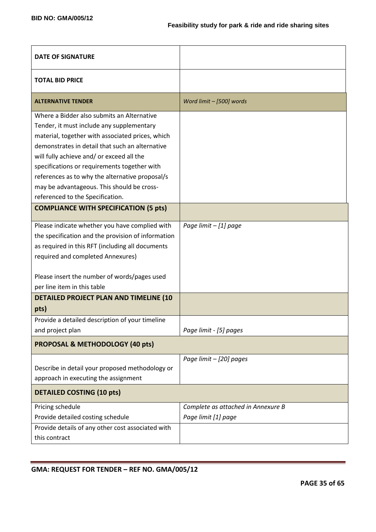| <b>DATE OF SIGNATURE</b>                                                                                                                                                                                                                                                                                                                                                                                                         |                                                           |
|----------------------------------------------------------------------------------------------------------------------------------------------------------------------------------------------------------------------------------------------------------------------------------------------------------------------------------------------------------------------------------------------------------------------------------|-----------------------------------------------------------|
| <b>TOTAL BID PRICE</b>                                                                                                                                                                                                                                                                                                                                                                                                           |                                                           |
| <b>ALTERNATIVE TENDER</b>                                                                                                                                                                                                                                                                                                                                                                                                        | Word limit - [500] words                                  |
| Where a Bidder also submits an Alternative<br>Tender, it must include any supplementary<br>material, together with associated prices, which<br>demonstrates in detail that such an alternative<br>will fully achieve and/ or exceed all the<br>specifications or requirements together with<br>references as to why the alternative proposal/s<br>may be advantageous. This should be cross-<br>referenced to the Specification. |                                                           |
| <b>COMPLIANCE WITH SPECIFICATION (5 pts)</b>                                                                                                                                                                                                                                                                                                                                                                                     |                                                           |
| Please indicate whether you have complied with<br>the specification and the provision of information<br>as required in this RFT (including all documents<br>required and completed Annexures)<br>Please insert the number of words/pages used<br>per line item in this table                                                                                                                                                     | Page limit - [1] page                                     |
| DETAILED PROJECT PLAN AND TIMELINE (10<br>pts)                                                                                                                                                                                                                                                                                                                                                                                   |                                                           |
| Provide a detailed description of your timeline<br>and project plan<br><b>PROPOSAL &amp; METHODOLOGY (40 pts)</b>                                                                                                                                                                                                                                                                                                                | Page limit - [5] pages                                    |
| Describe in detail your proposed methodology or<br>approach in executing the assignment                                                                                                                                                                                                                                                                                                                                          | Page limit - [20] pages                                   |
| <b>DETAILED COSTING (10 pts)</b>                                                                                                                                                                                                                                                                                                                                                                                                 |                                                           |
| Pricing schedule<br>Provide detailed costing schedule<br>Provide details of any other cost associated with<br>this contract                                                                                                                                                                                                                                                                                                      | Complete as attached in Annexure B<br>Page limit [1] page |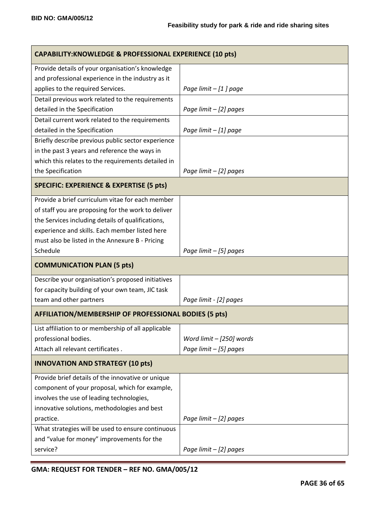| <b>CAPABILITY: KNOWLEDGE &amp; PROFESSIONAL EXPERIENCE (10 pts)</b> |                          |  |
|---------------------------------------------------------------------|--------------------------|--|
| Provide details of your organisation's knowledge                    |                          |  |
| and professional experience in the industry as it                   |                          |  |
| applies to the required Services.                                   | Page limit - [1] page    |  |
| Detail previous work related to the requirements                    |                          |  |
| detailed in the Specification                                       | Page limit - [2] pages   |  |
| Detail current work related to the requirements                     |                          |  |
| detailed in the Specification                                       | Page limit - [1] page    |  |
| Briefly describe previous public sector experience                  |                          |  |
| in the past 3 years and reference the ways in                       |                          |  |
| which this relates to the requirements detailed in                  |                          |  |
| the Specification                                                   | Page limit $-$ [2] pages |  |
| <b>SPECIFIC: EXPERIENCE &amp; EXPERTISE (5 pts)</b>                 |                          |  |
| Provide a brief curriculum vitae for each member                    |                          |  |
| of staff you are proposing for the work to deliver                  |                          |  |
| the Services including details of qualifications,                   |                          |  |
| experience and skills. Each member listed here                      |                          |  |
| must also be listed in the Annexure B - Pricing                     |                          |  |
| Schedule                                                            | Page limit - [5] pages   |  |
| <b>COMMUNICATION PLAN (5 pts)</b>                                   |                          |  |
| Describe your organisation's proposed initiatives                   |                          |  |
| for capacity building of your own team, JIC task                    |                          |  |
| team and other partners                                             | Page limit - [2] pages   |  |
| <b>AFFILIATION/MEMBERSHIP OF PROFESSIONAL BODIES (5 pts)</b>        |                          |  |
| List affiliation to or membership of all applicable                 |                          |  |
| professional bodies.                                                | Word limit - [250] words |  |
| Attach all relevant certificates.                                   | Page limit - [5] pages   |  |
| <b>INNOVATION AND STRATEGY (10 pts)</b>                             |                          |  |
| Provide brief details of the innovative or unique                   |                          |  |
| component of your proposal, which for example,                      |                          |  |
| involves the use of leading technologies,                           |                          |  |
| innovative solutions, methodologies and best                        |                          |  |
| practice.                                                           | Page limit $-[2]$ pages  |  |
| What strategies will be used to ensure continuous                   |                          |  |
| and "value for money" improvements for the                          |                          |  |
| service?                                                            | Page limit - [2] pages   |  |

**GMA: REQUEST FOR TENDER – REF NO. GMA/005/12**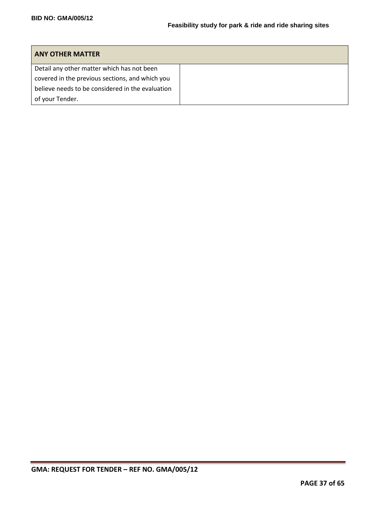| <b>ANY OTHER MATTER</b>                          |  |
|--------------------------------------------------|--|
| Detail any other matter which has not been       |  |
| covered in the previous sections, and which you  |  |
| believe needs to be considered in the evaluation |  |
| of your Tender.                                  |  |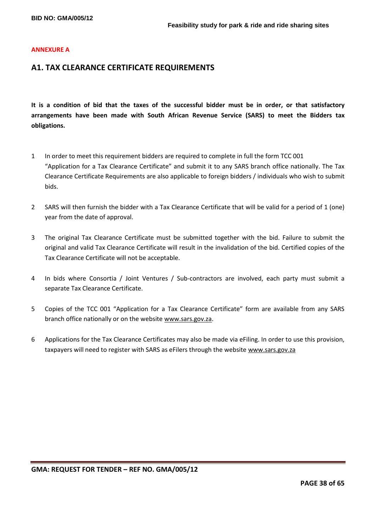#### **ANNEXURE A**

# **A1. TAX CLEARANCE CERTIFICATE REQUIREMENTS**

**It is a condition of bid that the taxes of the successful bidder must be in order, or that satisfactory arrangements have been made with South African Revenue Service (SARS) to meet the Bidders tax obligations.**

- 1 In order to meet this requirement bidders are required to complete in full the form TCC 001 "Application for a Tax Clearance Certificate" and submit it to any SARS branch office nationally. The Tax Clearance Certificate Requirements are also applicable to foreign bidders / individuals who wish to submit bids.
- 2 SARS will then furnish the bidder with a Tax Clearance Certificate that will be valid for a period of 1 (one) year from the date of approval.
- 3 The original Tax Clearance Certificate must be submitted together with the bid. Failure to submit the original and valid Tax Clearance Certificate will result in the invalidation of the bid. Certified copies of the Tax Clearance Certificate will not be acceptable.
- 4 In bids where Consortia / Joint Ventures / Sub-contractors are involved, each party must submit a separate Tax Clearance Certificate.
- 5 Copies of the TCC 001 "Application for a Tax Clearance Certificate" form are available from any SARS branch office nationally or on the website [www.sars.gov.za.](http://www.sars.gov.za/)
- 6 Applications for the Tax Clearance Certificates may also be made via eFiling. In order to use this provision, taxpayers will need to register with SARS as eFilers through the website [www.sars.gov.za](http://www.sars.gov.za/)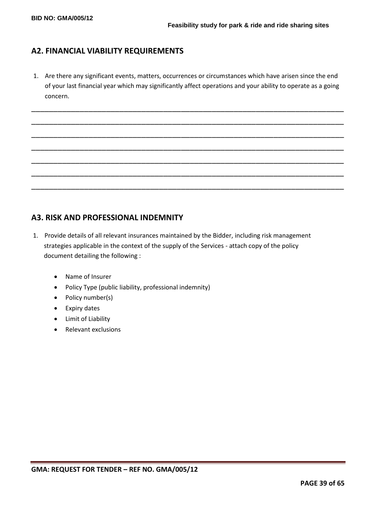# **A2. FINANCIAL VIABILITY REQUIREMENTS**

1. Are there any significant events, matters, occurrences or circumstances which have arisen since the end of your last financial year which may significantly affect operations and your ability to operate as a going concern.

\_\_\_\_\_\_\_\_\_\_\_\_\_\_\_\_\_\_\_\_\_\_\_\_\_\_\_\_\_\_\_\_\_\_\_\_\_\_\_\_\_\_\_\_\_\_\_\_\_\_\_\_\_\_\_\_\_\_\_\_\_\_\_\_\_\_\_\_\_\_\_

\_\_\_\_\_\_\_\_\_\_\_\_\_\_\_\_\_\_\_\_\_\_\_\_\_\_\_\_\_\_\_\_\_\_\_\_\_\_\_\_\_\_\_\_\_\_\_\_\_\_\_\_\_\_\_\_\_\_\_\_\_\_\_\_\_\_\_\_\_\_\_

\_\_\_\_\_\_\_\_\_\_\_\_\_\_\_\_\_\_\_\_\_\_\_\_\_\_\_\_\_\_\_\_\_\_\_\_\_\_\_\_\_\_\_\_\_\_\_\_\_\_\_\_\_\_\_\_\_\_\_\_\_\_\_\_\_\_\_\_\_\_\_

\_\_\_\_\_\_\_\_\_\_\_\_\_\_\_\_\_\_\_\_\_\_\_\_\_\_\_\_\_\_\_\_\_\_\_\_\_\_\_\_\_\_\_\_\_\_\_\_\_\_\_\_\_\_\_\_\_\_\_\_\_\_\_\_\_\_\_\_\_\_\_

\_\_\_\_\_\_\_\_\_\_\_\_\_\_\_\_\_\_\_\_\_\_\_\_\_\_\_\_\_\_\_\_\_\_\_\_\_\_\_\_\_\_\_\_\_\_\_\_\_\_\_\_\_\_\_\_\_\_\_\_\_\_\_\_\_\_\_\_\_\_\_

\_\_\_\_\_\_\_\_\_\_\_\_\_\_\_\_\_\_\_\_\_\_\_\_\_\_\_\_\_\_\_\_\_\_\_\_\_\_\_\_\_\_\_\_\_\_\_\_\_\_\_\_\_\_\_\_\_\_\_\_\_\_\_\_\_\_\_\_\_\_\_

\_\_\_\_\_\_\_\_\_\_\_\_\_\_\_\_\_\_\_\_\_\_\_\_\_\_\_\_\_\_\_\_\_\_\_\_\_\_\_\_\_\_\_\_\_\_\_\_\_\_\_\_\_\_\_\_\_\_\_\_\_\_\_\_\_\_\_\_\_\_\_

# **A3. RISK AND PROFESSIONAL INDEMNITY**

- 1. Provide details of all relevant insurances maintained by the Bidder, including risk management strategies applicable in the context of the supply of the Services - attach copy of the policy document detailing the following :
	- Name of Insurer
	- Policy Type (public liability, professional indemnity)
	- Policy number(s)
	- Expiry dates
	- Limit of Liability
	- Relevant exclusions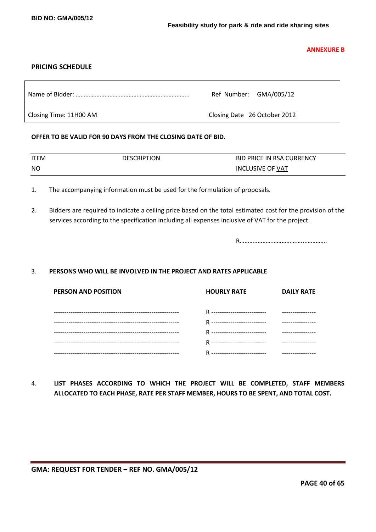**ANNEXURE B**

# **PRICING SCHEDULE**

|                        | Ref Number: GMA/005/12       |
|------------------------|------------------------------|
| Closing Time: 11H00 AM | Closing Date 26 October 2012 |

# **OFFER TO BE VALID FOR 90 DAYS FROM THE CLOSING DATE OF BID.**

| ITEM | <b>DESCRIPTION</b> | <b>BID PRICE IN RSA CURRENCY</b> |
|------|--------------------|----------------------------------|
| NO.  |                    | <b>INCLUSIVE OF VAT</b>          |

- 1. The accompanying information must be used for the formulation of proposals.
- 2. Bidders are required to indicate a ceiling price based on the total estimated cost for the provision of the services according to the specification including all expenses inclusive of VAT for the project.

R………..………………………...………….

#### 3. **PERSONS WHO WILL BE INVOLVED IN THE PROJECT AND RATES APPLICABLE**

| <b>PERSON AND POSITION</b> | <b>HOURLY RATE</b> | <b>DAILY RATE</b> |
|----------------------------|--------------------|-------------------|
|                            |                    |                   |
|                            |                    |                   |
|                            |                    |                   |
|                            |                    |                   |
|                            |                    |                   |

4. **LIST PHASES ACCORDING TO WHICH THE PROJECT WILL BE COMPLETED, STAFF MEMBERS ALLOCATED TO EACH PHASE, RATE PER STAFF MEMBER, HOURS TO BE SPENT, AND TOTAL COST.**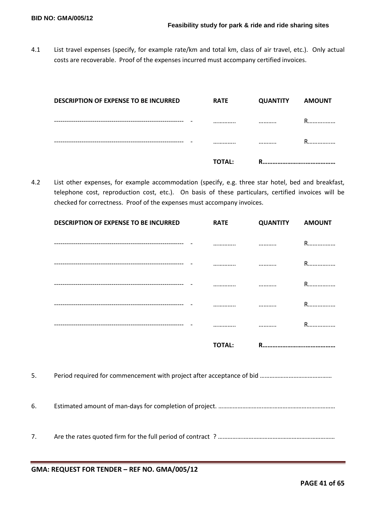4.1 List travel expenses (specify, for example rate/km and total km, class of air travel, etc.). Only actual costs are recoverable. Proof of the expenses incurred must accompany certified invoices.

| DESCRIPTION OF EXPENSE TO BE INCURRED | <b>RATE</b>   | <b>QUANTITY</b> | <b>AMOUNT</b> |
|---------------------------------------|---------------|-----------------|---------------|
|                                       |               |                 | R             |
|                                       |               |                 | R             |
|                                       | <b>TOTAL:</b> | R               |               |

4.2 List other expenses, for example accommodation (specify, e.g. three star hotel, bed and breakfast, telephone cost, reproduction cost, etc.). On basis of these particulars, certified invoices will be checked for correctness. Proof of the expenses must accompany invoices.

|    | <b>DESCRIPTION OF EXPENSE TO BE INCURRED</b> | <b>RATE</b>   | <b>QUANTITY</b> | <b>AMOUNT</b> |
|----|----------------------------------------------|---------------|-----------------|---------------|
|    |                                              |               |                 | R             |
|    |                                              |               |                 | R             |
|    |                                              |               |                 | R             |
|    |                                              |               |                 | R             |
|    |                                              |               |                 | R             |
|    |                                              | <b>TOTAL:</b> |                 |               |
| 5. |                                              |               |                 |               |
| 6. |                                              |               |                 |               |
| 7. |                                              |               |                 |               |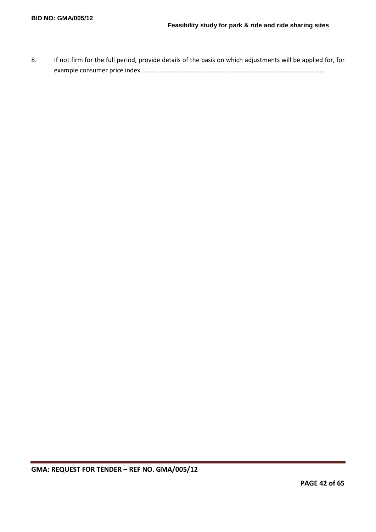8. If not firm for the full period, provide details of the basis on which adjustments will be applied for, for example consumer price index. …………………………………………………………………………………..……………...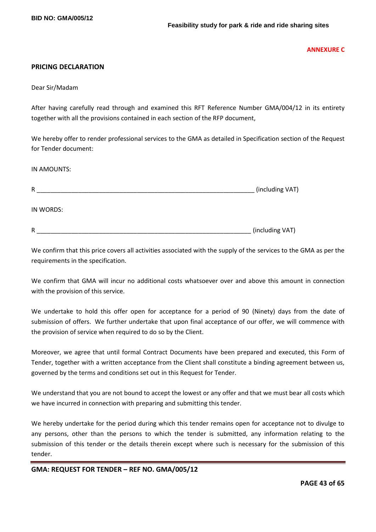**ANNEXURE C**

## **PRICING DECLARATION**

Dear Sir/Madam

After having carefully read through and examined this RFT Reference Number GMA/004/12 in its entirety together with all the provisions contained in each section of the RFP document,

We hereby offer to render professional services to the GMA as detailed in Specification section of the Request for Tender document:

IN AMOUNTS:

| R         | (including VAT) |
|-----------|-----------------|
| IN WORDS: |                 |
| R         | (including VAT) |

We confirm that this price covers all activities associated with the supply of the services to the GMA as per the requirements in the specification.

We confirm that GMA will incur no additional costs whatsoever over and above this amount in connection with the provision of this service.

We undertake to hold this offer open for acceptance for a period of 90 (Ninety) days from the date of submission of offers. We further undertake that upon final acceptance of our offer, we will commence with the provision of service when required to do so by the Client.

Moreover, we agree that until formal Contract Documents have been prepared and executed, this Form of Tender, together with a written acceptance from the Client shall constitute a binding agreement between us, governed by the terms and conditions set out in this Request for Tender.

We understand that you are not bound to accept the lowest or any offer and that we must bear all costs which we have incurred in connection with preparing and submitting this tender.

We hereby undertake for the period during which this tender remains open for acceptance not to divulge to any persons, other than the persons to which the tender is submitted, any information relating to the submission of this tender or the details therein except where such is necessary for the submission of this tender.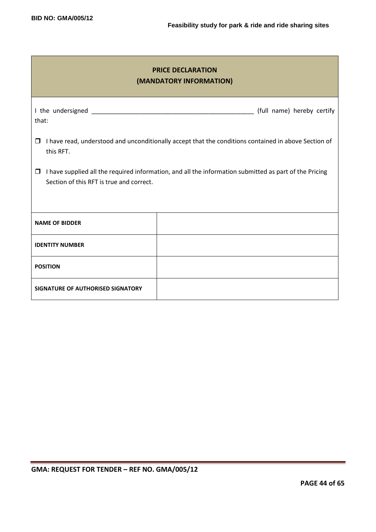| <b>PRICE DECLARATION</b><br>(MANDATORY INFORMATION)                                                                                                          |  |  |  |  |
|--------------------------------------------------------------------------------------------------------------------------------------------------------------|--|--|--|--|
| (full name) hereby certify<br>that:                                                                                                                          |  |  |  |  |
| I have read, understood and unconditionally accept that the conditions contained in above Section of<br>$\Box$<br>this RFT.                                  |  |  |  |  |
| I have supplied all the required information, and all the information submitted as part of the Pricing<br>$\Box$<br>Section of this RFT is true and correct. |  |  |  |  |
| <b>NAME OF BIDDER</b>                                                                                                                                        |  |  |  |  |
| <b>IDENTITY NUMBER</b>                                                                                                                                       |  |  |  |  |
| <b>POSITION</b>                                                                                                                                              |  |  |  |  |
| SIGNATURE OF AUTHORISED SIGNATORY                                                                                                                            |  |  |  |  |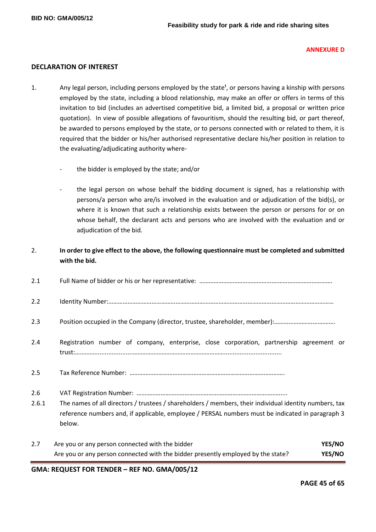#### **ANNEXURE D**

# **DECLARATION OF INTEREST**

- 1. Any legal person, including persons employed by the state<sup>1</sup>, or persons having a kinship with persons employed by the state, including a blood relationship, may make an offer or offers in terms of this invitation to bid (includes an advertised competitive bid, a limited bid, a proposal or written price quotation). In view of possible allegations of favouritism, should the resulting bid, or part thereof, be awarded to persons employed by the state, or to persons connected with or related to them, it is required that the bidder or his/her authorised representative declare his/her position in relation to the evaluating/adjudicating authority where
	- the bidder is employed by the state; and/or
	- the legal person on whose behalf the bidding document is signed, has a relationship with persons/a person who are/is involved in the evaluation and or adjudication of the bid(s), or where it is known that such a relationship exists between the person or persons for or on whose behalf, the declarant acts and persons who are involved with the evaluation and or adjudication of the bid.

# 2. **In order to give effect to the above, the following questionnaire must be completed and submitted with the bid.**

| 2.1          |                                                                                                                                                                                                                      |  |
|--------------|----------------------------------------------------------------------------------------------------------------------------------------------------------------------------------------------------------------------|--|
| 2.2          |                                                                                                                                                                                                                      |  |
| 2.3          |                                                                                                                                                                                                                      |  |
| 2.4          | Registration number of company, enterprise, close corporation, partnership agreement or                                                                                                                              |  |
| 2.5          |                                                                                                                                                                                                                      |  |
| 2.6<br>2.6.1 | The names of all directors / trustees / shareholders / members, their individual identity numbers, tax<br>reference numbers and, if applicable, employee / PERSAL numbers must be indicated in paragraph 3<br>below. |  |
| 2.7          | <b>YES/NO</b><br>Are you or any person connected with the bidder<br>YES/NO<br>Are you or any person connected with the bidder presently employed by the state?                                                       |  |

**GMA: REQUEST FOR TENDER – REF NO. GMA/005/12**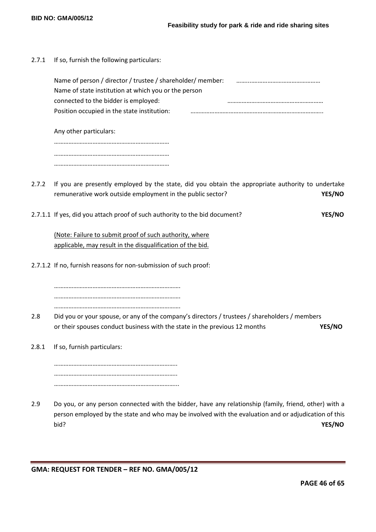| 2.7.1 | If so, furnish the following particulars:                                                                                                                       |        |
|-------|-----------------------------------------------------------------------------------------------------------------------------------------------------------------|--------|
|       | Name of person / director / trustee / shareholder/ member:<br>Name of state institution at which you or the person<br>connected to the bidder is employed:      |        |
|       | Position occupied in the state institution:                                                                                                                     |        |
|       | Any other particulars:                                                                                                                                          |        |
|       |                                                                                                                                                                 |        |
|       |                                                                                                                                                                 |        |
| 2.7.2 | If you are presently employed by the state, did you obtain the appropriate authority to undertake<br>remunerative work outside employment in the public sector? | YES/NO |
|       | 2.7.1.1 If yes, did you attach proof of such authority to the bid document?                                                                                     | YES/NO |
|       | (Note: Failure to submit proof of such authority, where<br>applicable, may result in the disqualification of the bid.                                           |        |
|       | 2.7.1.2 If no, furnish reasons for non-submission of such proof:                                                                                                |        |
|       |                                                                                                                                                                 |        |
| 2.8   | Did you or your spouse, or any of the company's directors / trustees / shareholders / members                                                                   |        |
|       | or their spouses conduct business with the state in the previous 12 months                                                                                      | YES/NO |
| 2.8.1 | If so, furnish particulars:                                                                                                                                     |        |

………………………………………………………………….. ………………………………………………………………….. …………………………………………………………………...

2.9 Do you, or any person connected with the bidder, have any relationship (family, friend, other) with a person employed by the state and who may be involved with the evaluation and or adjudication of this bid? **YES/NO**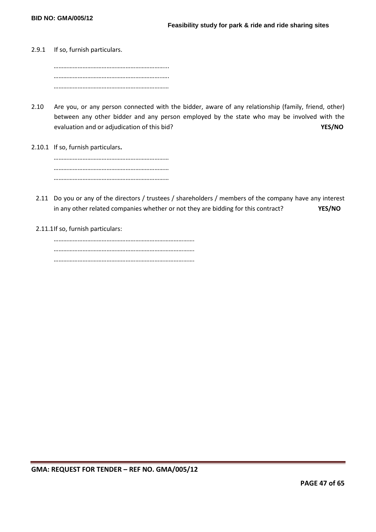2.9.1 If so, furnish particulars.

……………………………………………………………... …………………………………………………………..…. ………………………………………………………………

- 2.10 Are you, or any person connected with the bidder, aware of any relationship (family, friend, other) between any other bidder and any person employed by the state who may be involved with the evaluation and or adjudication of this bid? **YES/NO**
- 2.10.1 If so, furnish particulars**.**

……………………………………………………………… ……………………………………………………………… ………………………………………………………………

- 2.11 Do you or any of the directors / trustees / shareholders / members of the company have any interest in any other related companies whether or not they are bidding for this contract? **YES/NO**
- 2.11.1If so, furnish particulars: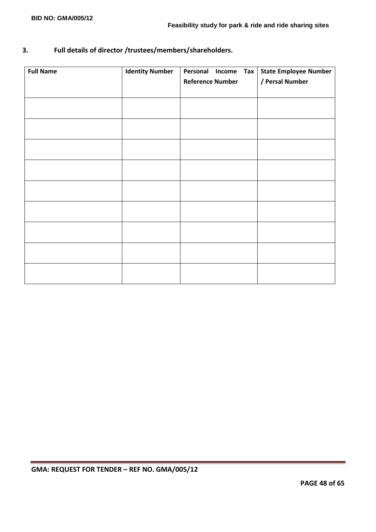# **3. Full details of director /trustees/members/shareholders.**

| <b>Full Name</b> | <b>Identity Number</b> | Personal Income<br><b>Tax</b> | <b>State Employee Number</b> |
|------------------|------------------------|-------------------------------|------------------------------|
|                  |                        | <b>Reference Number</b>       | / Persal Number              |
|                  |                        |                               |                              |
|                  |                        |                               |                              |
|                  |                        |                               |                              |
|                  |                        |                               |                              |
|                  |                        |                               |                              |
|                  |                        |                               |                              |
|                  |                        |                               |                              |
|                  |                        |                               |                              |
|                  |                        |                               |                              |
|                  |                        |                               |                              |
|                  |                        |                               |                              |
|                  |                        |                               |                              |
|                  |                        |                               |                              |
|                  |                        |                               |                              |
|                  |                        |                               |                              |
|                  |                        |                               |                              |
|                  |                        |                               |                              |
|                  |                        |                               |                              |
|                  |                        |                               |                              |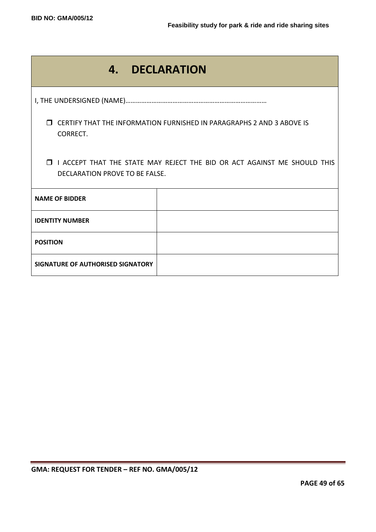| 4.                                                                                                                  | <b>DECLARATION</b> |  |  |
|---------------------------------------------------------------------------------------------------------------------|--------------------|--|--|
|                                                                                                                     |                    |  |  |
| CERTIFY THAT THE INFORMATION FURNISHED IN PARAGRAPHS 2 AND 3 ABOVE IS<br>$\Box$<br>CORRECT.                         |                    |  |  |
| <b>I I ACCEPT THAT THE STATE MAY REJECT THE BID OR ACT AGAINST ME SHOULD THIS</b><br>DECLARATION PROVE TO BE FALSE. |                    |  |  |
| <b>NAME OF BIDDER</b>                                                                                               |                    |  |  |
| <b>IDENTITY NUMBER</b>                                                                                              |                    |  |  |
| <b>POSITION</b>                                                                                                     |                    |  |  |
| SIGNATURE OF AUTHORISED SIGNATORY                                                                                   |                    |  |  |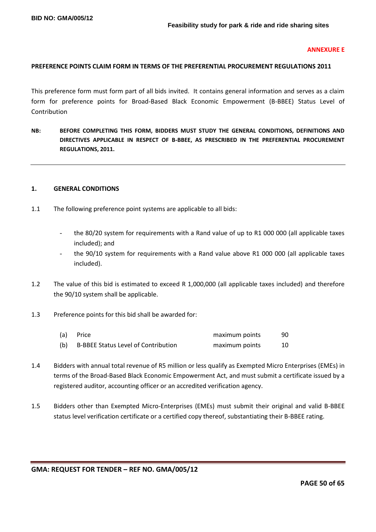#### **ANNEXURE E**

# **PREFERENCE POINTS CLAIM FORM IN TERMS OF THE PREFERENTIAL PROCUREMENT REGULATIONS 2011**

This preference form must form part of all bids invited. It contains general information and serves as a claim form for preference points for Broad-Based Black Economic Empowerment (B-BBEE) Status Level of Contribution

**NB: BEFORE COMPLETING THIS FORM, BIDDERS MUST STUDY THE GENERAL CONDITIONS, DEFINITIONS AND DIRECTIVES APPLICABLE IN RESPECT OF B-BBEE, AS PRESCRIBED IN THE PREFERENTIAL PROCUREMENT REGULATIONS, 2011.** 

#### **1. GENERAL CONDITIONS**

- 1.1 The following preference point systems are applicable to all bids:
	- the 80/20 system for requirements with a Rand value of up to R1 000 000 (all applicable taxes included); and
	- the 90/10 system for requirements with a Rand value above R1 000 000 (all applicable taxes included).
- 1.2 The value of this bid is estimated to exceed R 1,000,000 (all applicable taxes included) and therefore the 90/10 system shall be applicable.
- 1.3 Preference points for this bid shall be awarded for:

| (a) | Price                                      | maximum points | 90 |
|-----|--------------------------------------------|----------------|----|
| (b) | <b>B-BBEE Status Level of Contribution</b> | maximum points |    |

- 1.4 Bidders with annual total revenue of R5 million or less qualify as Exempted Micro Enterprises (EMEs) in terms of the Broad-Based Black Economic Empowerment Act, and must submit a certificate issued by a registered auditor, accounting officer or an accredited verification agency.
- 1.5 Bidders other than Exempted Micro-Enterprises (EMEs) must submit their original and valid B-BBEE status level verification certificate or a certified copy thereof, substantiating their B-BBEE rating.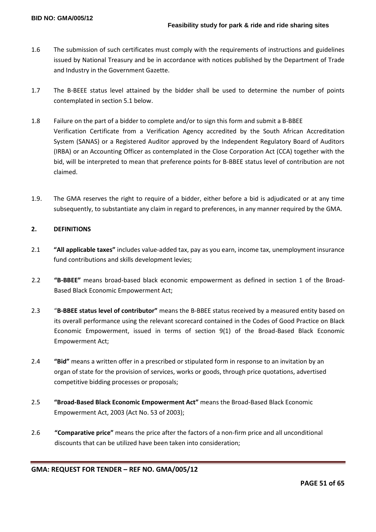- 1.6 The submission of such certificates must comply with the requirements of instructions and guidelines issued by National Treasury and be in accordance with notices published by the Department of Trade and Industry in the Government Gazette.
- 1.7 The B-BEEE status level attained by the bidder shall be used to determine the number of points contemplated in section 5.1 below.
- 1.8 Failure on the part of a bidder to complete and/or to sign this form and submit a B-BBEE Verification Certificate from a Verification Agency accredited by the South African Accreditation System (SANAS) or a Registered Auditor approved by the Independent Regulatory Board of Auditors (IRBA) or an Accounting Officer as contemplated in the Close Corporation Act (CCA) together with the bid, will be interpreted to mean that preference points for B-BBEE status level of contribution are not claimed.
- 1.9. The GMA reserves the right to require of a bidder, either before a bid is adjudicated or at any time subsequently, to substantiate any claim in regard to preferences, in any manner required by the GMA.

# **2. DEFINITIONS**

- 2.1 **"All applicable taxes"** includes value-added tax, pay as you earn, income tax, unemployment insurance fund contributions and skills development levies;
- 2.2 **"B-BBEE"** means broad-based black economic empowerment as defined in section 1 of the Broad-Based Black Economic Empowerment Act;
- 2.3 "**B-BBEE status level of contributor"** means the B-BBEE status received by a measured entity based on its overall performance using the relevant scorecard contained in the Codes of Good Practice on Black Economic Empowerment, issued in terms of section 9(1) of the Broad-Based Black Economic Empowerment Act;
- 2.4 **"Bid"** means a written offer in a prescribed or stipulated form in response to an invitation by an organ of state for the provision of services, works or goods, through price quotations, advertised competitive bidding processes or proposals;
- 2.5 **"Broad-Based Black Economic Empowerment Act"** means the Broad-Based Black Economic Empowerment Act, 2003 (Act No. 53 of 2003);
- 2.6 **"Comparative price"** means the price after the factors of a non-firm price and all unconditional discounts that can be utilized have been taken into consideration;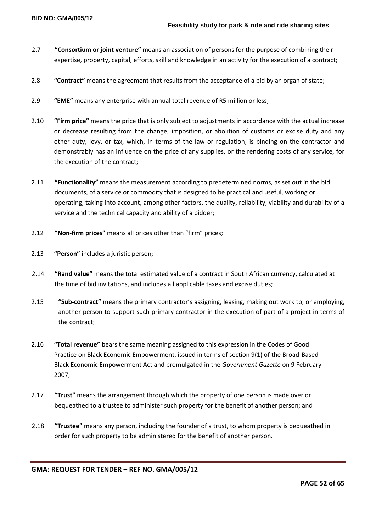- 2.7 **"Consortium or joint venture"** means an association of persons for the purpose of combining their expertise, property, capital, efforts, skill and knowledge in an activity for the execution of a contract;
- 2.8 **"Contract"** means the agreement that results from the acceptance of a bid by an organ of state;
- 2.9 **"EME"** means any enterprise with annual total revenue of R5 million or less;
- 2.10 **"Firm price"** means the price that is only subject to adjustments in accordance with the actual increase or decrease resulting from the change, imposition, or abolition of customs or excise duty and any other duty, levy, or tax, which, in terms of the law or regulation, is binding on the contractor and demonstrably has an influence on the price of any supplies, or the rendering costs of any service, for the execution of the contract;
- 2.11 **"Functionality"** means the measurement according to predetermined norms, as set out in the bid documents, of a service or commodity that is designed to be practical and useful, working or operating, taking into account, among other factors, the quality, reliability, viability and durability of a service and the technical capacity and ability of a bidder;
- 2.12 **"Non-firm prices"** means all prices other than "firm" prices;
- 2.13 **"Person"** includes a juristic person;
- 2.14 **"Rand value"** means the total estimated value of a contract in South African currency, calculated at the time of bid invitations, and includes all applicable taxes and excise duties;
- 2.15 **"Sub-contract"** means the primary contractor's assigning, leasing, making out work to, or employing, another person to support such primary contractor in the execution of part of a project in terms of the contract;
- 2.16 **"Total revenue"** bears the same meaning assigned to this expression in the Codes of Good Practice on Black Economic Empowerment, issued in terms of section 9(1) of the Broad-Based Black Economic Empowerment Act and promulgated in the *Government Gazette* on 9 February 2007;
- 2.17 **"Trust"** means the arrangement through which the property of one person is made over or bequeathed to a trustee to administer such property for the benefit of another person; and
- 2.18 **"Trustee"** means any person, including the founder of a trust, to whom property is bequeathed in order for such property to be administered for the benefit of another person.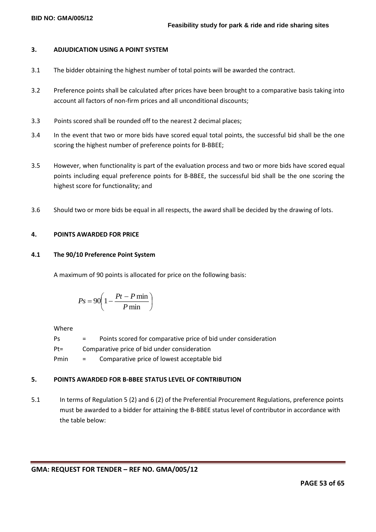#### **BID NO: GMA/005/12**

### **3. ADJUDICATION USING A POINT SYSTEM**

- 3.1 The bidder obtaining the highest number of total points will be awarded the contract.
- 3.2 Preference points shall be calculated after prices have been brought to a comparative basis taking into account all factors of non-firm prices and all unconditional discounts;
- 3.3 Points scored shall be rounded off to the nearest 2 decimal places;
- 3.4 In the event that two or more bids have scored equal total points, the successful bid shall be the one scoring the highest number of preference points for B-BBEE;
- 3.5 However, when functionality is part of the evaluation process and two or more bids have scored equal points including equal preference points for B-BBEE, the successful bid shall be the one scoring the highest score for functionality; and
- 3.6 Should two or more bids be equal in all respects, the award shall be decided by the drawing of lots.

# **4. POINTS AWARDED FOR PRICE**

# **4.1 The 90/10 Preference Point System**

A maximum of 90 points is allocated for price on the following basis:

$$
Ps = 90 \left( 1 - \frac{Pt - P \min}{P \min} \right)
$$

Where

| Ps     | $=$ | Points scored for comparative price of bid under consideration |
|--------|-----|----------------------------------------------------------------|
| $Pt =$ |     | Comparative price of bid under consideration                   |
| Pmin   | $=$ | Comparative price of lowest acceptable bid                     |

# **5. POINTS AWARDED FOR B-BBEE STATUS LEVEL OF CONTRIBUTION**

5.1 In terms of Regulation 5 (2) and 6 (2) of the Preferential Procurement Regulations, preference points must be awarded to a bidder for attaining the B-BBEE status level of contributor in accordance with the table below: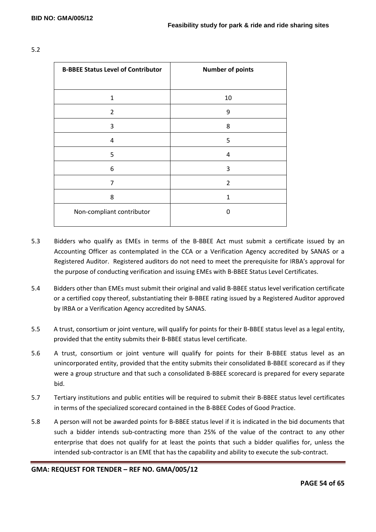| <b>B-BBEE Status Level of Contributor</b> | <b>Number of points</b> |
|-------------------------------------------|-------------------------|
|                                           |                         |
| $\mathbf{1}$                              | 10                      |
| $\overline{2}$                            | 9                       |
| 3                                         | 8                       |
| 4                                         | 5                       |
| 5                                         | 4                       |
| 6                                         | 3                       |
| 7                                         | $\overline{2}$          |
| 8                                         | 1                       |
| Non-compliant contributor                 | O                       |
|                                           |                         |

#### 5.2

- 5.3 Bidders who qualify as EMEs in terms of the B-BBEE Act must submit a certificate issued by an Accounting Officer as contemplated in the CCA or a Verification Agency accredited by SANAS or a Registered Auditor. Registered auditors do not need to meet the prerequisite for IRBA's approval for the purpose of conducting verification and issuing EMEs with B-BBEE Status Level Certificates.
- 5.4 Bidders other than EMEs must submit their original and valid B-BBEE status level verification certificate or a certified copy thereof, substantiating their B-BBEE rating issued by a Registered Auditor approved by IRBA or a Verification Agency accredited by SANAS.
- 5.5 A trust, consortium or joint venture, will qualify for points for their B-BBEE status level as a legal entity, provided that the entity submits their B-BBEE status level certificate.
- 5.6 A trust, consortium or joint venture will qualify for points for their B-BBEE status level as an unincorporated entity, provided that the entity submits their consolidated B-BBEE scorecard as if they were a group structure and that such a consolidated B-BBEE scorecard is prepared for every separate bid.
- 5.7 Tertiary institutions and public entities will be required to submit their B-BBEE status level certificates in terms of the specialized scorecard contained in the B-BBEE Codes of Good Practice.
- 5.8 A person will not be awarded points for B-BBEE status level if it is indicated in the bid documents that such a bidder intends sub-contracting more than 25% of the value of the contract to any other enterprise that does not qualify for at least the points that such a bidder qualifies for, unless the intended sub-contractor is an EME that has the capability and ability to execute the sub-contract.

**GMA: REQUEST FOR TENDER – REF NO. GMA/005/12**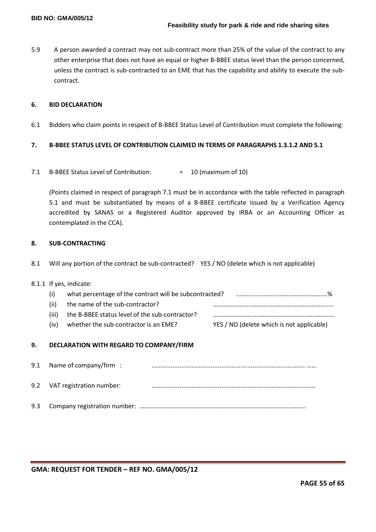5.9 A person awarded a contract may not sub-contract more than 25% of the value of the contract to any other enterprise that does not have an equal or higher B-BBEE status level than the person concerned, unless the contract is sub-contracted to an EME that has the capability and ability to execute the subcontract.

## **6. BID DECLARATION**

6.1 Bidders who claim points in respect of B-BBEE Status Level of Contribution must complete the following:

# **7. B-BBEE STATUS LEVEL OF CONTRIBUTION CLAIMED IN TERMS OF PARAGRAPHS 1.3.1.2 AND 5.1**

7.1 B-BBEE Status Level of Contribution: = 10 (maximum of 10)

(Points claimed in respect of paragraph 7.1 must be in accordance with the table reflected in paragraph 5.1 and must be substantiated by means of a B-BBEE certificate issued by a Verification Agency accredited by SANAS or a Registered Auditor approved by IRBA or an Accounting Officer as contemplated in the CCA).

#### **8. SUB-CONTRACTING**

8.1 Will any portion of the contract be sub-contracted? YES / NO (delete which is not applicable)

#### 8.1.1 If yes, indicate:

| (i)   | what percentage of the contract will be subcontracted? |                                           |
|-------|--------------------------------------------------------|-------------------------------------------|
| (ii)  | the name of the sub-contractor?                        |                                           |
| (iii) | the B-BBEE status level of the sub-contractor?         |                                           |
| (iv)  | whether the sub-contractor is an EME?                  | YES / NO (delete which is not applicable) |

# **9. DECLARATION WITH REGARD TO COMPANY/FIRM**

| 9.1 Name of company/firm :   |  |
|------------------------------|--|
| 9.2 VAT registration number: |  |
|                              |  |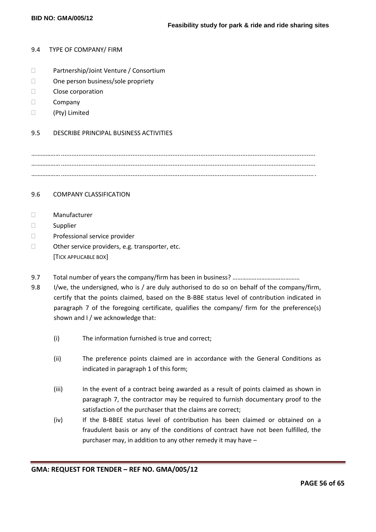#### 9.4 TYPE OF COMPANY/ FIRM

- □ Partnership/Joint Venture / Consortium
- □ One person business/sole propriety
- **Close corporation**
- D Company
- (Pty) Limited

#### 9.5 DESCRIBE PRINCIPAL BUSINESS ACTIVITIES

……………….................................................................................................................................................. ……………….................................................................................................................................................. ………………..................................................................................................................................................

# 9.6 COMPANY CLASSIFICATION

- Manufacturer
- □ Supplier
- D Professional service provider
- □ Other service providers, e.g. transporter, etc. [TICK APPLICABLE BOX]
- 9.7 Total number of years the company/firm has been in business? ………………………………………
- 9.8 I/we, the undersigned, who is / are duly authorised to do so on behalf of the company/firm, certify that the points claimed, based on the B-BBE status level of contribution indicated in paragraph 7 of the foregoing certificate, qualifies the company/ firm for the preference(s) shown and I / we acknowledge that:
	- (i) The information furnished is true and correct;
	- (ii) The preference points claimed are in accordance with the General Conditions as indicated in paragraph 1 of this form;
	- (iii) In the event of a contract being awarded as a result of points claimed as shown in paragraph 7, the contractor may be required to furnish documentary proof to the satisfaction of the purchaser that the claims are correct;
	- (iv) If the B-BBEE status level of contribution has been claimed or obtained on a fraudulent basis or any of the conditions of contract have not been fulfilled, the purchaser may, in addition to any other remedy it may have –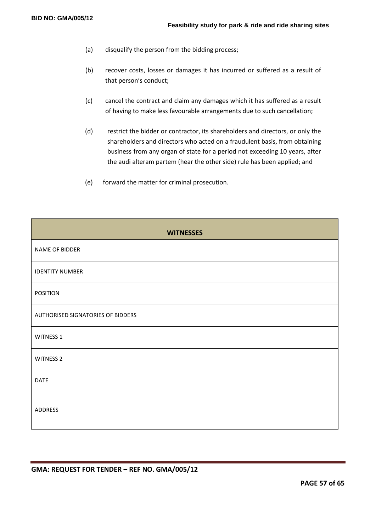- (a) disqualify the person from the bidding process;
- (b) recover costs, losses or damages it has incurred or suffered as a result of that person's conduct;
- (c) cancel the contract and claim any damages which it has suffered as a result of having to make less favourable arrangements due to such cancellation;
- (d) restrict the bidder or contractor, its shareholders and directors, or only the shareholders and directors who acted on a fraudulent basis, from obtaining business from any organ of state for a period not exceeding 10 years, after the audi alteram partem (hear the other side) rule has been applied; and
- (e) forward the matter for criminal prosecution.

| <b>WITNESSES</b>                  |  |  |  |  |
|-----------------------------------|--|--|--|--|
| NAME OF BIDDER                    |  |  |  |  |
| <b>IDENTITY NUMBER</b>            |  |  |  |  |
| <b>POSITION</b>                   |  |  |  |  |
| AUTHORISED SIGNATORIES OF BIDDERS |  |  |  |  |
| WITNESS 1                         |  |  |  |  |
| <b>WITNESS 2</b>                  |  |  |  |  |
| <b>DATE</b>                       |  |  |  |  |
| <b>ADDRESS</b>                    |  |  |  |  |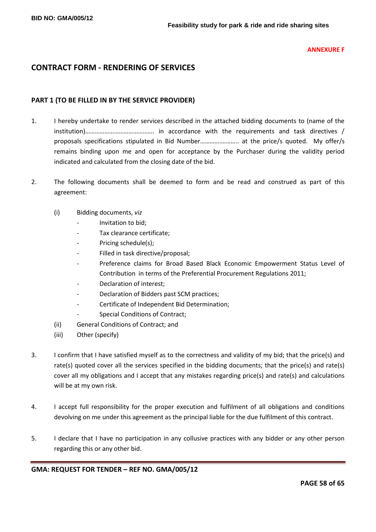#### **ANNEXURE F**

# **CONTRACT FORM - RENDERING OF SERVICES**

# **PART 1 (TO BE FILLED IN BY THE SERVICE PROVIDER)**

- 1. I hereby undertake to render services described in the attached bidding documents to (name of the institution)……………………………………. in accordance with the requirements and task directives / proposals specifications stipulated in Bid Number………….……….. at the price/s quoted. My offer/s remains binding upon me and open for acceptance by the Purchaser during the validity period indicated and calculated from the closing date of the bid.
- 2. The following documents shall be deemed to form and be read and construed as part of this agreement:
	- (i) Bidding documents, *viz*
		- *-* Invitation to bid;
		- *-* Tax clearance certificate;
		- Pricing schedule(s);
		- *-* Filled in task directive/proposal;
		- *-* Preference claims for Broad Based Black Economic Empowerment Status Level of Contribution in terms of the Preferential Procurement Regulations 2011;
		- *-* Declaration of interest;
		- *-* Declaration of Bidders past SCM practices;
		- *-* Certificate of Independent Bid Determination;
		- **Special Conditions of Contract;**
	- (ii) General Conditions of Contract; and
	- (iii) Other (specify)
- 3. I confirm that I have satisfied myself as to the correctness and validity of my bid; that the price(s) and rate(s) quoted cover all the services specified in the bidding documents; that the price(s) and rate(s) cover all my obligations and I accept that any mistakes regarding price(s) and rate(s) and calculations will be at my own risk.
- 4. I accept full responsibility for the proper execution and fulfilment of all obligations and conditions devolving on me under this agreement as the principal liable for the due fulfilment of this contract.
- 5. I declare that I have no participation in any collusive practices with any bidder or any other person regarding this or any other bid.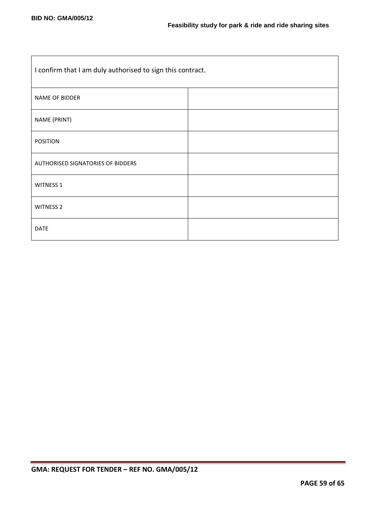| I confirm that I am duly authorised to sign this contract. |  |  |
|------------------------------------------------------------|--|--|
| <b>NAME OF BIDDER</b>                                      |  |  |
| NAME (PRINT)                                               |  |  |
| <b>POSITION</b>                                            |  |  |
| AUTHORISED SIGNATORIES OF BIDDERS                          |  |  |
| <b>WITNESS 1</b>                                           |  |  |
| <b>WITNESS 2</b>                                           |  |  |
| <b>DATE</b>                                                |  |  |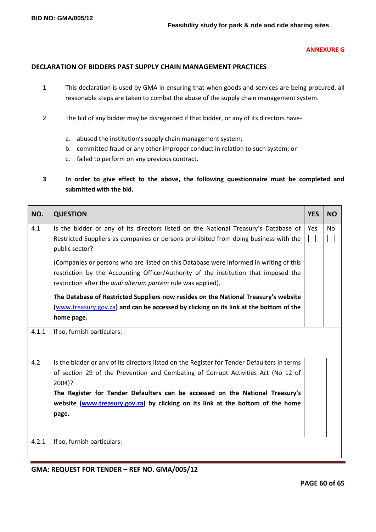#### **ANNEXURE G**

# **DECLARATION OF BIDDERS PAST SUPPLY CHAIN MANAGEMENT PRACTICES**

- 1 This declaration is used by GMA in ensuring that when goods and services are being procured, all reasonable steps are taken to combat the abuse of the supply chain management system.
- 2 The bid of any bidder may be disregarded if that bidder, or any of its directors have
	- a. abused the institution's supply chain management system;
	- b. committed fraud or any other improper conduct in relation to such system; or
	- c. failed to perform on any previous contract.
- **3 In order to give effect to the above, the following questionnaire must be completed and submitted with the bid.**

| NO.   | <b>QUESTION</b>                                                                                                                                                                                                                                                                                                                                                         |  | <b>NO</b> |
|-------|-------------------------------------------------------------------------------------------------------------------------------------------------------------------------------------------------------------------------------------------------------------------------------------------------------------------------------------------------------------------------|--|-----------|
| 4.1   | Is the bidder or any of its directors listed on the National Treasury's Database of<br>Restricted Suppliers as companies or persons prohibited from doing business with the<br>public sector?                                                                                                                                                                           |  | <b>No</b> |
|       | (Companies or persons who are listed on this Database were informed in writing of this<br>restriction by the Accounting Officer/Authority of the institution that imposed the<br>restriction after the <i>audi alteram partem</i> rule was applied).                                                                                                                    |  |           |
|       | The Database of Restricted Suppliers now resides on the National Treasury's website<br>(www.treasury.gov.za) and can be accessed by clicking on its link at the bottom of the<br>home page.                                                                                                                                                                             |  |           |
| 4.1.1 | If so, furnish particulars:                                                                                                                                                                                                                                                                                                                                             |  |           |
| 4.2   | Is the bidder or any of its directors listed on the Register for Tender Defaulters in terms<br>of section 29 of the Prevention and Combating of Corrupt Activities Act (No 12 of<br>2004)?<br>The Register for Tender Defaulters can be accessed on the National Treasury's<br>website (www.treasury.gov.za) by clicking on its link at the bottom of the home<br>page. |  |           |
| 4.2.1 | If so, furnish particulars:                                                                                                                                                                                                                                                                                                                                             |  |           |

**GMA: REQUEST FOR TENDER – REF NO. GMA/005/12**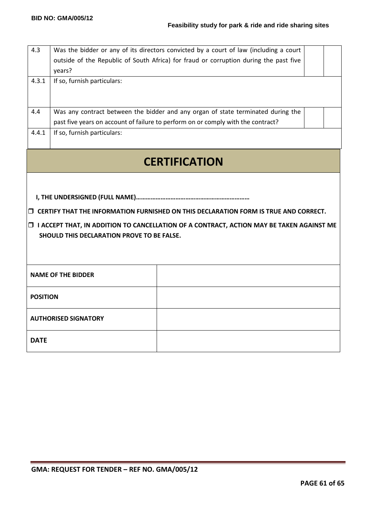| 4.3<br>4.3.1                                                                                                                                                                                                                                 | years?<br>If so, furnish particulars:                                            | Was the bidder or any of its directors convicted by a court of law (including a court<br>outside of the Republic of South Africa) for fraud or corruption during the past five |  |  |
|----------------------------------------------------------------------------------------------------------------------------------------------------------------------------------------------------------------------------------------------|----------------------------------------------------------------------------------|--------------------------------------------------------------------------------------------------------------------------------------------------------------------------------|--|--|
| 4.4                                                                                                                                                                                                                                          | past five years on account of failure to perform on or comply with the contract? | Was any contract between the bidder and any organ of state terminated during the                                                                                               |  |  |
| 4.4.1                                                                                                                                                                                                                                        | If so, furnish particulars:                                                      |                                                                                                                                                                                |  |  |
| <b>CERTIFICATION</b>                                                                                                                                                                                                                         |                                                                                  |                                                                                                                                                                                |  |  |
| $\Box$ CERTIFY THAT THE INFORMATION FURNISHED ON THIS DECLARATION FORM IS TRUE AND CORRECT.<br><b>I ACCEPT THAT, IN ADDITION TO CANCELLATION OF A CONTRACT, ACTION MAY BE TAKEN AGAINST ME</b><br>SHOULD THIS DECLARATION PROVE TO BE FALSE. |                                                                                  |                                                                                                                                                                                |  |  |
|                                                                                                                                                                                                                                              | <b>NAME OF THE BIDDER</b>                                                        |                                                                                                                                                                                |  |  |
|                                                                                                                                                                                                                                              | <b>POSITION</b>                                                                  |                                                                                                                                                                                |  |  |
|                                                                                                                                                                                                                                              | <b>AUTHORISED SIGNATORY</b>                                                      |                                                                                                                                                                                |  |  |
| <b>DATE</b>                                                                                                                                                                                                                                  |                                                                                  |                                                                                                                                                                                |  |  |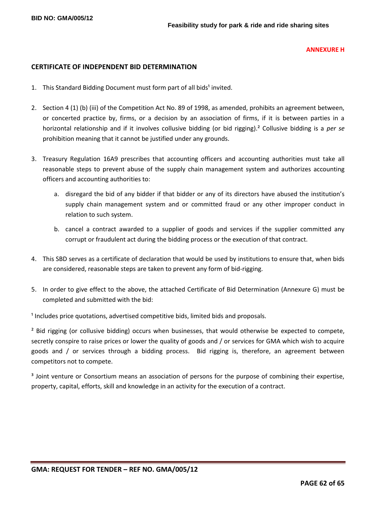#### **ANNEXURE H**

## **CERTIFICATE OF INDEPENDENT BID DETERMINATION**

- 1. This Standard Bidding Document must form part of all bids<sup>1</sup> invited.
- 2. Section 4 (1) (b) (iii) of the Competition Act No. 89 of 1998, as amended, prohibits an agreement between, or concerted practice by, firms, or a decision by an association of firms, if it is between parties in a horizontal relationship and if it involves collusive bidding (or bid rigging).² Collusive bidding is a *per se* prohibition meaning that it cannot be justified under any grounds.
- 3. Treasury Regulation 16A9 prescribes that accounting officers and accounting authorities must take all reasonable steps to prevent abuse of the supply chain management system and authorizes accounting officers and accounting authorities to:
	- a. disregard the bid of any bidder if that bidder or any of its directors have abused the institution's supply chain management system and or committed fraud or any other improper conduct in relation to such system.
	- b. cancel a contract awarded to a supplier of goods and services if the supplier committed any corrupt or fraudulent act during the bidding process or the execution of that contract.
- 4. This SBD serves as a certificate of declaration that would be used by institutions to ensure that, when bids are considered, reasonable steps are taken to prevent any form of bid-rigging.
- 5. In order to give effect to the above, the attached Certificate of Bid Determination (Annexure G) must be completed and submitted with the bid:

<sup>1</sup> Includes price quotations, advertised competitive bids, limited bids and proposals.

<sup>2</sup> Bid rigging (or collusive bidding) occurs when businesses, that would otherwise be expected to compete, secretly conspire to raise prices or lower the quality of goods and / or services for GMA which wish to acquire goods and / or services through a bidding process. Bid rigging is, therefore, an agreement between competitors not to compete.

<sup>3</sup> Joint venture or Consortium means an association of persons for the purpose of combining their expertise, property, capital, efforts, skill and knowledge in an activity for the execution of a contract.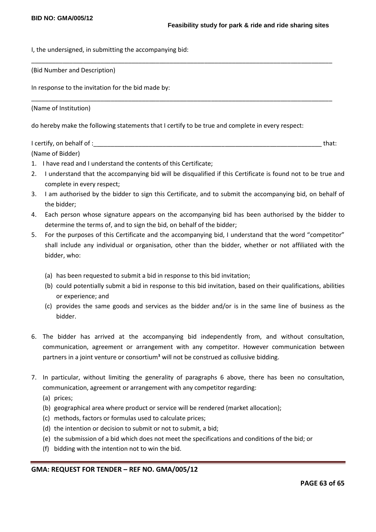I, the undersigned, in submitting the accompanying bid:

(Bid Number and Description)

In response to the invitation for the bid made by:

(Name of Institution)

do hereby make the following statements that I certify to be true and complete in every respect:

I certify, on behalf of : that: the state of  $\mathcal{L}$  is a state of  $\mathcal{L}$  is a state of  $\mathcal{L}$  that:

\_\_\_\_\_\_\_\_\_\_\_\_\_\_\_\_\_\_\_\_\_\_\_\_\_\_\_\_\_\_\_\_\_\_\_\_\_\_\_\_\_\_\_\_\_\_\_\_\_\_\_\_\_\_\_\_\_\_\_\_\_\_\_\_\_\_\_\_\_\_\_\_\_\_\_\_\_\_\_\_\_\_\_\_\_\_\_

\_\_\_\_\_\_\_\_\_\_\_\_\_\_\_\_\_\_\_\_\_\_\_\_\_\_\_\_\_\_\_\_\_\_\_\_\_\_\_\_\_\_\_\_\_\_\_\_\_\_\_\_\_\_\_\_\_\_\_\_\_\_\_\_\_\_\_\_\_\_\_\_\_\_\_\_\_\_\_\_\_\_\_\_\_\_\_

(Name of Bidder)

- 1. I have read and I understand the contents of this Certificate;
- 2. I understand that the accompanying bid will be disqualified if this Certificate is found not to be true and complete in every respect;
- 3. I am authorised by the bidder to sign this Certificate, and to submit the accompanying bid, on behalf of the bidder;
- 4. Each person whose signature appears on the accompanying bid has been authorised by the bidder to determine the terms of, and to sign the bid, on behalf of the bidder;
- 5. For the purposes of this Certificate and the accompanying bid, I understand that the word "competitor" shall include any individual or organisation, other than the bidder, whether or not affiliated with the bidder, who:
	- (a) has been requested to submit a bid in response to this bid invitation;
	- (b) could potentially submit a bid in response to this bid invitation, based on their qualifications, abilities or experience; and
	- (c) provides the same goods and services as the bidder and/or is in the same line of business as the bidder.
- 6. The bidder has arrived at the accompanying bid independently from, and without consultation, communication, agreement or arrangement with any competitor. However communication between partners in a joint venture or consortium<sup>3</sup> will not be construed as collusive bidding.
- 7. In particular, without limiting the generality of paragraphs 6 above, there has been no consultation, communication, agreement or arrangement with any competitor regarding:
	- (a) prices;
	- (b) geographical area where product or service will be rendered (market allocation);
	- (c) methods, factors or formulas used to calculate prices;
	- (d) the intention or decision to submit or not to submit, a bid;
	- (e) the submission of a bid which does not meet the specifications and conditions of the bid; or
	- (f) bidding with the intention not to win the bid.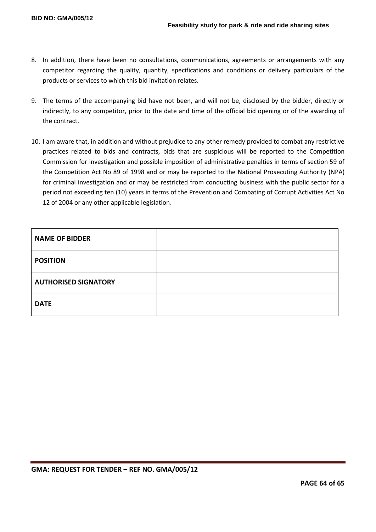- 8. In addition, there have been no consultations, communications, agreements or arrangements with any competitor regarding the quality, quantity, specifications and conditions or delivery particulars of the products or services to which this bid invitation relates.
- 9. The terms of the accompanying bid have not been, and will not be, disclosed by the bidder, directly or indirectly, to any competitor, prior to the date and time of the official bid opening or of the awarding of the contract.
- 10. I am aware that, in addition and without prejudice to any other remedy provided to combat any restrictive practices related to bids and contracts, bids that are suspicious will be reported to the Competition Commission for investigation and possible imposition of administrative penalties in terms of section 59 of the Competition Act No 89 of 1998 and or may be reported to the National Prosecuting Authority (NPA) for criminal investigation and or may be restricted from conducting business with the public sector for a period not exceeding ten (10) years in terms of the Prevention and Combating of Corrupt Activities Act No 12 of 2004 or any other applicable legislation.

| <b>NAME OF BIDDER</b>       |  |
|-----------------------------|--|
| <b>POSITION</b>             |  |
| <b>AUTHORISED SIGNATORY</b> |  |
| <b>DATE</b>                 |  |